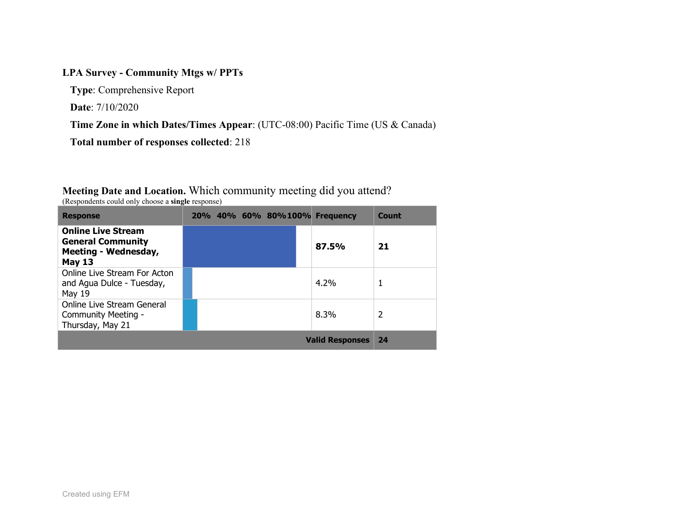### **LPA Survey - Community Mtgs w/ PPTs**

**Type**: Comprehensive Report

**Date**: 7/10/2020

**Time Zone in which Dates/Times Appear**: (UTC-08:00) Pacific Time (US & Canada)

**Total number of responses collected**: 218

# **Meeting Date and Location.** Which community meeting did you attend?

| <b>Response</b>                                                                                | 20% 40% 60% 80%100% |  | <b>Frequency</b>       | Count |
|------------------------------------------------------------------------------------------------|---------------------|--|------------------------|-------|
| <b>Online Live Stream</b><br><b>General Community</b><br>Meeting - Wednesday,<br><b>May 13</b> |                     |  | 87.5%                  | 21    |
| Online Live Stream For Acton<br>and Agua Dulce - Tuesday,<br>May 19                            |                     |  | $4.2\%$                |       |
| Online Live Stream General<br>Community Meeting -<br>Thursday, May 21                          |                     |  | 8.3%                   | 2     |
|                                                                                                |                     |  | <b>Valid Responses</b> | 24    |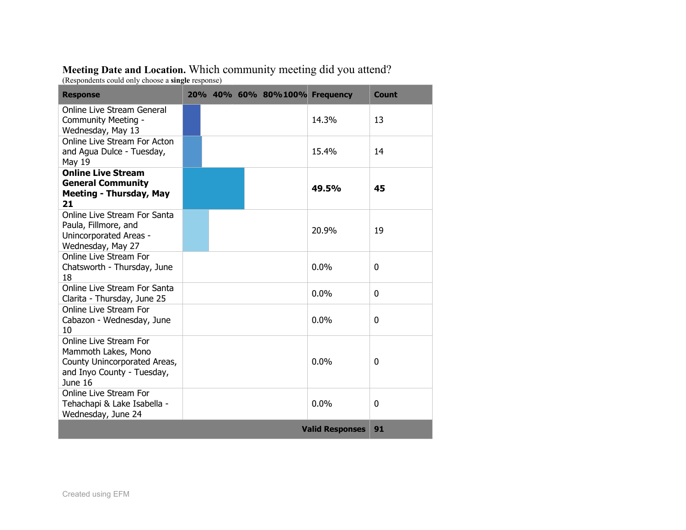## **Meeting Date and Location.** Which community meeting did you attend?

| <b>Response</b>                                                                                                        |  | 20% 40% 60% 80%100% Frequency |                        | <b>Count</b> |
|------------------------------------------------------------------------------------------------------------------------|--|-------------------------------|------------------------|--------------|
| <b>Online Live Stream General</b><br>Community Meeting -<br>Wednesday, May 13                                          |  |                               | 14.3%                  | 13           |
| Online Live Stream For Acton<br>and Agua Dulce - Tuesday,<br>May 19                                                    |  |                               | 15.4%                  | 14           |
| <b>Online Live Stream</b><br><b>General Community</b><br><b>Meeting - Thursday, May</b><br>21                          |  |                               | 49.5%                  | 45           |
| Online Live Stream For Santa<br>Paula, Fillmore, and<br>Unincorporated Areas -<br>Wednesday, May 27                    |  |                               | 20.9%                  | 19           |
| Online Live Stream For<br>Chatsworth - Thursday, June<br>18                                                            |  |                               | 0.0%                   | 0            |
| Online Live Stream For Santa<br>Clarita - Thursday, June 25                                                            |  |                               | 0.0%                   | $\Omega$     |
| Online Live Stream For<br>Cabazon - Wednesday, June<br>10                                                              |  |                               | $0.0\%$                | 0            |
| Online Live Stream For<br>Mammoth Lakes, Mono<br>County Unincorporated Areas,<br>and Inyo County - Tuesday,<br>June 16 |  |                               | 0.0%                   | 0            |
| Online Live Stream For<br>Tehachapi & Lake Isabella -<br>Wednesday, June 24                                            |  |                               | 0.0%                   | 0            |
|                                                                                                                        |  |                               | <b>Valid Responses</b> | 91           |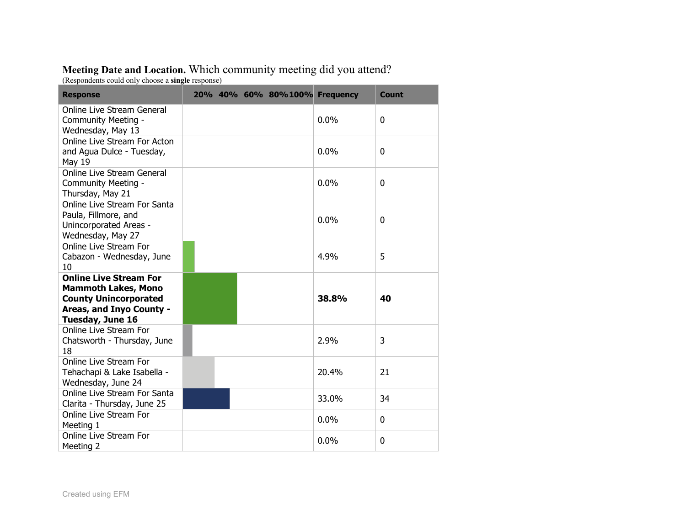## **Meeting Date and Location.** Which community meeting did you attend?

| <b>Response</b>                                                                                                                             |  | 20% 40% 60% 80%100% Frequency |         | <b>Count</b> |
|---------------------------------------------------------------------------------------------------------------------------------------------|--|-------------------------------|---------|--------------|
| Online Live Stream General<br>Community Meeting -<br>Wednesday, May 13                                                                      |  |                               | 0.0%    | 0            |
| Online Live Stream For Acton<br>and Agua Dulce - Tuesday,<br>May 19                                                                         |  |                               | $0.0\%$ | 0            |
| Online Live Stream General<br>Community Meeting -<br>Thursday, May 21                                                                       |  |                               | 0.0%    | 0            |
| Online Live Stream For Santa<br>Paula, Fillmore, and<br>Unincorporated Areas -<br>Wednesday, May 27                                         |  |                               | $0.0\%$ | 0            |
| Online Live Stream For<br>Cabazon - Wednesday, June<br>10                                                                                   |  |                               | 4.9%    | 5            |
| <b>Online Live Stream For</b><br><b>Mammoth Lakes, Mono</b><br><b>County Unincorporated</b><br>Areas, and Inyo County -<br>Tuesday, June 16 |  |                               | 38.8%   | 40           |
| Online Live Stream For<br>Chatsworth - Thursday, June<br>18                                                                                 |  |                               | 2.9%    | 3            |
| Online Live Stream For<br>Tehachapi & Lake Isabella -<br>Wednesday, June 24                                                                 |  |                               | 20.4%   | 21           |
| Online Live Stream For Santa<br>Clarita - Thursday, June 25                                                                                 |  |                               | 33.0%   | 34           |
| Online Live Stream For<br>Meeting 1                                                                                                         |  |                               | 0.0%    | 0            |
| Online Live Stream For<br>Meeting 2                                                                                                         |  |                               | 0.0%    | 0            |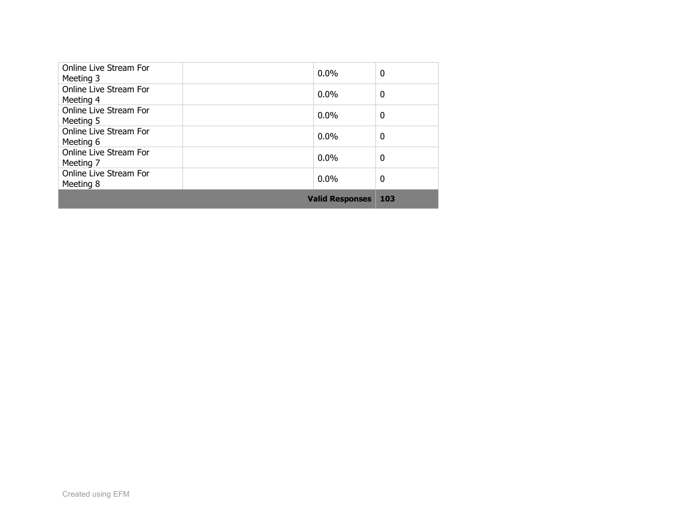| Online Live Stream For<br>Meeting 3 | $0.0\%$    | 0            |
|-------------------------------------|------------|--------------|
| Online Live Stream For<br>Meeting 4 | $0.0\%$    | $\mathbf{0}$ |
| Online Live Stream For<br>Meeting 5 | $0.0\%$    | 0            |
| Online Live Stream For<br>Meeting 6 | $0.0\%$    | 0            |
| Online Live Stream For<br>Meeting 7 | $0.0\%$    | 0            |
| Online Live Stream For<br>Meeting 8 | $0.0\%$    | 0            |
|                                     | <b>103</b> |              |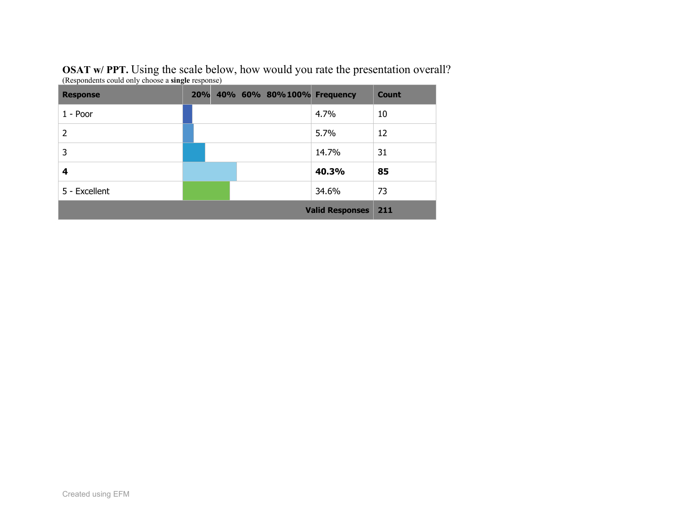| <b>OSAT</b> w/ PPT. Using the scale below, how would you rate the presentation overall? |  |
|-----------------------------------------------------------------------------------------|--|
| (Respondents could only choose a <b>single</b> response)                                |  |

| <b>Response</b> |                            | 20% 40% 60% 80%100% Frequency |       | <b>Count</b> |
|-----------------|----------------------------|-------------------------------|-------|--------------|
| $1 -$ Poor      |                            |                               | 4.7%  | 10           |
| $\overline{2}$  |                            |                               | 5.7%  | 12           |
| 3               |                            |                               | 14.7% | 31           |
| 4               |                            |                               | 40.3% | 85           |
| 5 - Excellent   |                            |                               | 34.6% | 73           |
|                 | <b>Valid Responses</b> 211 |                               |       |              |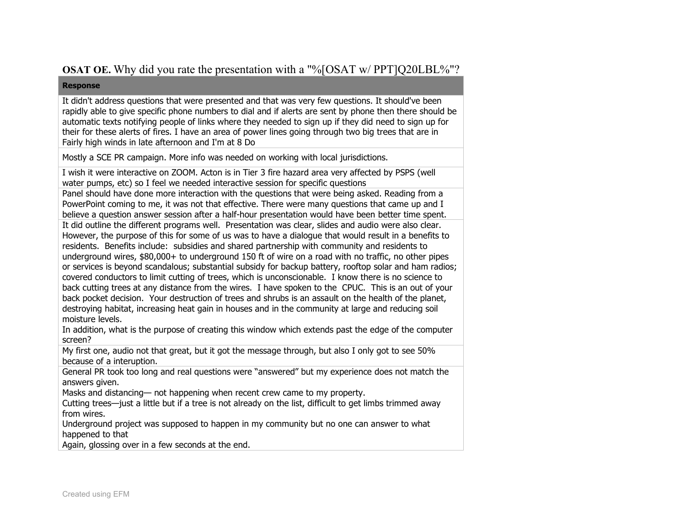### **OSAT OE.** Why did you rate the presentation with a "%[OSAT w/PPT]Q20LBL%"?

#### **Response**

It didn't address questions that were presented and that was very few questions. It should've been rapidly able to give specific phone numbers to dial and if alerts are sent by phone then there should be automatic texts notifying people of links where they needed to sign up if they did need to sign up for their for these alerts of fires. I have an area of power lines going through two big trees that are in Fairly high winds in late afternoon and I'm at 8 Do

Mostly a SCE PR campaign. More info was needed on working with local jurisdictions.

I wish it were interactive on ZOOM. Acton is in Tier 3 fire hazard area very affected by PSPS (well water pumps, etc) so I feel we needed interactive session for specific questions

Panel should have done more interaction with the questions that were being asked. Reading from a PowerPoint coming to me, it was not that effective. There were many questions that came up and I believe a question answer session after a half-hour presentation would have been better time spent. It did outline the different programs well. Presentation was clear, slides and audio were also clear. However, the purpose of this for some of us was to have a dialogue that would result in a benefits to residents. Benefits include: subsidies and shared partnership with community and residents to underground wires, \$80,000+ to underground 150 ft of wire on a road with no traffic, no other pipes or services is beyond scandalous; substantial subsidy for backup battery, rooftop solar and ham radios; covered conductors to limit cutting of trees, which is unconscionable. I know there is no science to back cutting trees at any distance from the wires. I have spoken to the CPUC. This is an out of your back pocket decision. Your destruction of trees and shrubs is an assault on the health of the planet,

destroying habitat, increasing heat gain in houses and in the community at large and reducing soil moisture levels.

In addition, what is the purpose of creating this window which extends past the edge of the computer screen?

My first one, audio not that great, but it got the message through, but also I only got to see 50% because of a interuption.

General PR took too long and real questions were "answered" but my experience does not match the answers given.

Masks and distancing— not happening when recent crew came to my property.

Cutting trees—just a little but if a tree is not already on the list, difficult to get limbs trimmed away from wires.

Underground project was supposed to happen in my community but no one can answer to what happened to that

Again, glossing over in a few seconds at the end.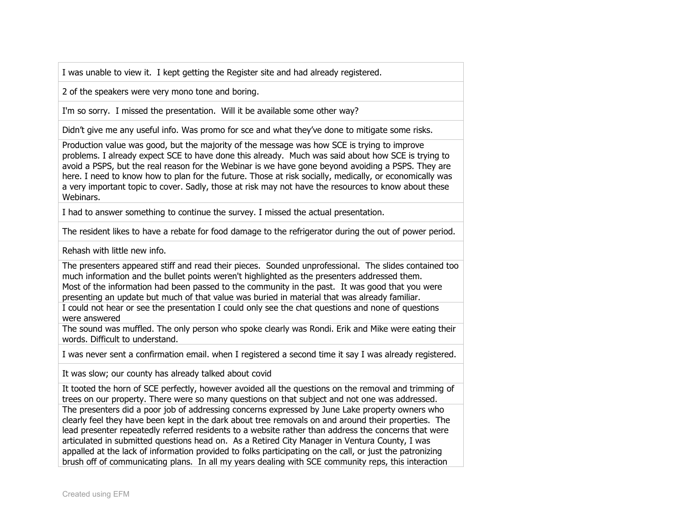I was unable to view it. I kept getting the Register site and had already registered.

2 of the speakers were very mono tone and boring.

I'm so sorry. I missed the presentation. Will it be available some other way?

Didn't give me any useful info. Was promo for sce and what they've done to mitigate some risks.

Production value was good, but the majority of the message was how SCE is trying to improve problems. I already expect SCE to have done this already. Much was said about how SCE is trying to avoid a PSPS, but the real reason for the Webinar is we have gone beyond avoiding a PSPS. They are here. I need to know how to plan for the future. Those at risk socially, medically, or economically was a very important topic to cover. Sadly, those at risk may not have the resources to know about these Webinars.

I had to answer something to continue the survey. I missed the actual presentation.

The resident likes to have a rebate for food damage to the refrigerator during the out of power period.

Rehash with little new info.

The presenters appeared stiff and read their pieces. Sounded unprofessional. The slides contained too much information and the bullet points weren't highlighted as the presenters addressed them. Most of the information had been passed to the community in the past. It was good that you were presenting an update but much of that value was buried in material that was already familiar.

I could not hear or see the presentation I could only see the chat questions and none of questions were answered

The sound was muffled. The only person who spoke clearly was Rondi. Erik and Mike were eating their words. Difficult to understand.

I was never sent a confirmation email. when I registered a second time it say I was already registered.

It was slow; our county has already talked about covid

It tooted the horn of SCE perfectly, however avoided all the questions on the removal and trimming of trees on our property. There were so many questions on that subject and not one was addressed.

The presenters did a poor job of addressing concerns expressed by June Lake property owners who clearly feel they have been kept in the dark about tree removals on and around their properties. The lead presenter repeatedly referred residents to a website rather than address the concerns that were articulated in submitted questions head on. As a Retired City Manager in Ventura County, I was appalled at the lack of information provided to folks participating on the call, or just the patronizing brush off of communicating plans. In all my years dealing with SCE community reps, this interaction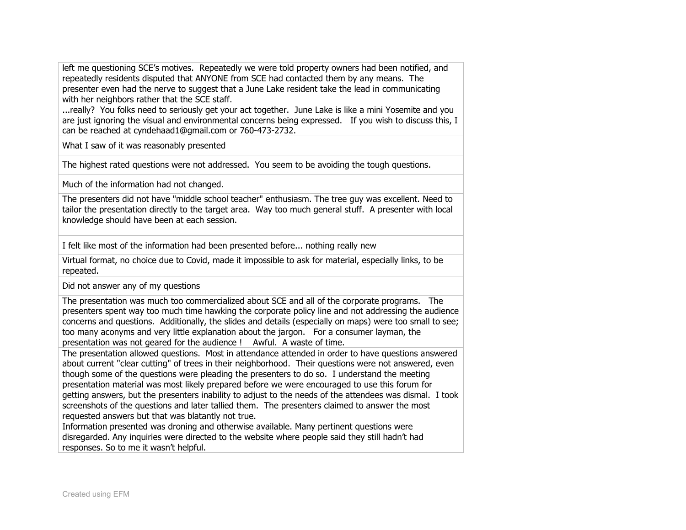left me questioning SCE's motives. Repeatedly we were told property owners had been notified, and repeatedly residents disputed that ANYONE from SCE had contacted them by any means. The presenter even had the nerve to suggest that a June Lake resident take the lead in communicating with her neighbors rather that the SCE staff.

...really? You folks need to seriously get your act together. June Lake is like a mini Yosemite and you are just ignoring the visual and environmental concerns being expressed. If you wish to discuss this, I can be reached at cyndehaad1@gmail.com or 760-473-2732.

What I saw of it was reasonably presented

The highest rated questions were not addressed. You seem to be avoiding the tough questions.

Much of the information had not changed.

The presenters did not have "middle school teacher" enthusiasm. The tree guy was excellent. Need to tailor the presentation directly to the target area. Way too much general stuff. A presenter with local knowledge should have been at each session.

I felt like most of the information had been presented before... nothing really new

Virtual format, no choice due to Covid, made it impossible to ask for material, especially links, to be repeated.

Did not answer any of my questions

The presentation was much too commercialized about SCE and all of the corporate programs. The presenters spent way too much time hawking the corporate policy line and not addressing the audience concerns and questions. Additionally, the slides and details (especially on maps) were too small to see; too many aconyms and very little explanation about the jargon. For a consumer layman, the presentation was not geared for the audience ! Awful. A waste of time.

The presentation allowed questions. Most in attendance attended in order to have questions answered about current "clear cutting" of trees in their neighborhood. Their questions were not answered, even though some of the questions were pleading the presenters to do so. I understand the meeting presentation material was most likely prepared before we were encouraged to use this forum for getting answers, but the presenters inability to adjust to the needs of the attendees was dismal. I took screenshots of the questions and later tallied them. The presenters claimed to answer the most requested answers but that was blatantly not true.

Information presented was droning and otherwise available. Many pertinent questions were disregarded. Any inquiries were directed to the website where people said they still hadn't had responses. So to me it wasn't helpful.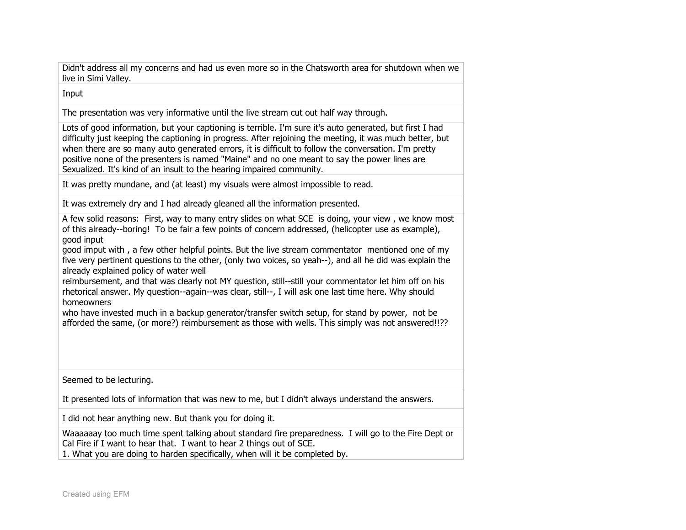Didn't address all my concerns and had us even more so in the Chatsworth area for shutdown when we live in Simi Valley.

Input

The presentation was very informative until the live stream cut out half way through.

Lots of good information, but your captioning is terrible. I'm sure it's auto generated, but first I had difficulty just keeping the captioning in progress. After rejoining the meeting, it was much better, but when there are so many auto generated errors, it is difficult to follow the conversation. I'm pretty positive none of the presenters is named "Maine" and no one meant to say the power lines are Sexualized. It's kind of an insult to the hearing impaired community.

It was pretty mundane, and (at least) my visuals were almost impossible to read.

It was extremely dry and I had already gleaned all the information presented.

A few solid reasons: First, way to many entry slides on what SCE is doing, your view , we know most of this already--boring! To be fair a few points of concern addressed, (helicopter use as example), good input

good imput with , a few other helpful points. But the live stream commentator mentioned one of my five very pertinent questions to the other, (only two voices, so yeah--), and all he did was explain the already explained policy of water well

reimbursement, and that was clearly not MY question, still--still your commentator let him off on his rhetorical answer. My question--again--was clear, still--, I will ask one last time here. Why should homeowners

who have invested much in a backup generator/transfer switch setup, for stand by power, not be afforded the same, (or more?) reimbursement as those with wells. This simply was not answered!!??

Seemed to be lecturing.

It presented lots of information that was new to me, but I didn't always understand the answers.

I did not hear anything new. But thank you for doing it.

Waaaaaay too much time spent talking about standard fire preparedness. I will go to the Fire Dept or Cal Fire if I want to hear that. I want to hear 2 things out of SCE.

1. What you are doing to harden specifically, when will it be completed by.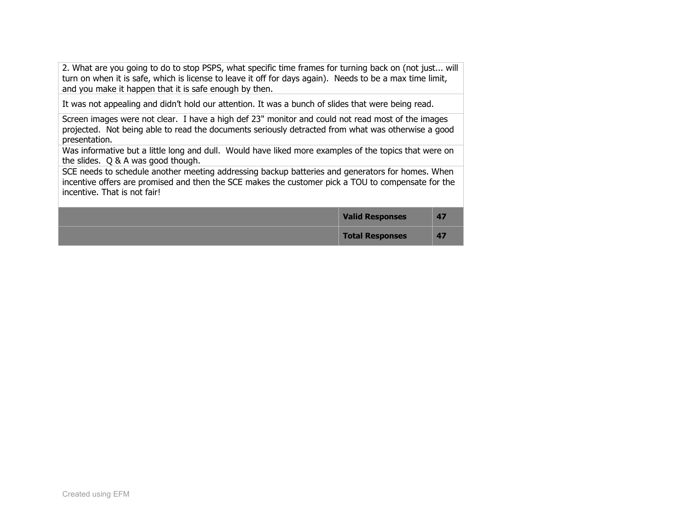2. What are you going to do to stop PSPS, what specific time frames for turning back on (not just... will turn on when it is safe, which is license to leave it off for days again). Needs to be a max time limit, and you make it happen that it is safe enough by then.

It was not appealing and didn't hold our attention. It was a bunch of slides that were being read.

Screen images were not clear. I have a high def 23" monitor and could not read most of the images projected. Not being able to read the documents seriously detracted from what was otherwise a good presentation.

Was informative but a little long and dull. Would have liked more examples of the topics that were on the slides. Q & A was good though.

SCE needs to schedule another meeting addressing backup batteries and generators for homes. When incentive offers are promised and then the SCE makes the customer pick a TOU to compensate for the incentive. That is not fair!

| <b>Valid Responses</b> | 47 |
|------------------------|----|
| <b>Total Responses</b> | 47 |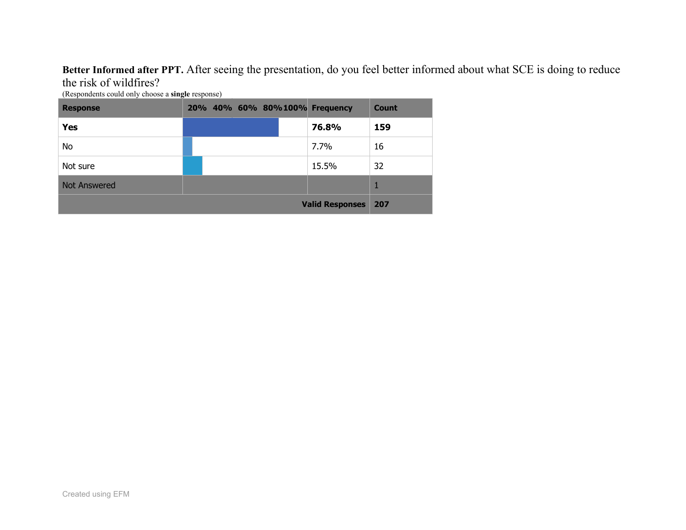**Better Informed after PPT.** After seeing the presentation, do you feel better informed about what SCE is doing to reduce the risk of wildfires?

| <b>Response</b>            |  |  |  |  |  |  | 20% 40% 60% 80%100% Frequency | <b>Count</b> |
|----------------------------|--|--|--|--|--|--|-------------------------------|--------------|
| Yes                        |  |  |  |  |  |  | 76.8%                         | 159          |
| No                         |  |  |  |  |  |  | 7.7%                          | 16           |
| Not sure                   |  |  |  |  |  |  | 15.5%                         | 32           |
| <b>Not Answered</b>        |  |  |  |  |  |  |                               |              |
| <b>Valid Responses</b> 207 |  |  |  |  |  |  |                               |              |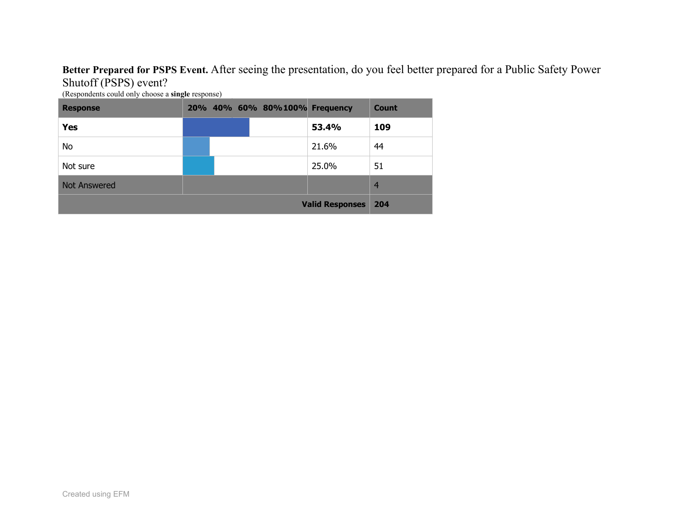## **Better Prepared for PSPS Event.** After seeing the presentation, do you feel better prepared for a Public Safety Power Shutoff (PSPS) event?

| <b>Response</b>     |     | 20% 40% 60% 80%100% Frequency |       | <b>Count</b>   |
|---------------------|-----|-------------------------------|-------|----------------|
| Yes                 |     |                               | 53.4% | 109            |
| No                  |     |                               | 21.6% | 44             |
| Not sure            |     |                               | 25.0% | 51             |
| <b>Not Answered</b> |     |                               |       | $\overline{4}$ |
|                     | 204 |                               |       |                |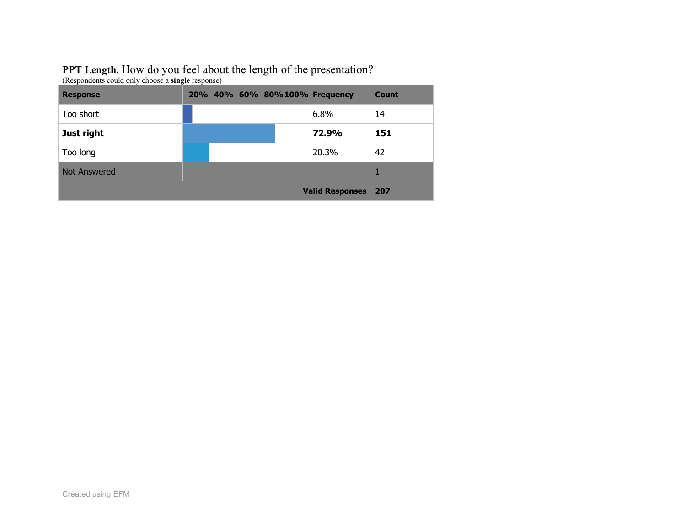## **PPT Length.** How do you feel about the length of the presentation?

| <b>Response</b>     |  |  | 20% 40% 60% 80%100% Frequency | <b>Count</b> |
|---------------------|--|--|-------------------------------|--------------|
| Too short           |  |  | 6.8%                          | 14           |
| Just right          |  |  | 72.9%                         | 151          |
| Too long            |  |  | 20.3%                         | 42           |
| <b>Not Answered</b> |  |  |                               | 1            |
|                     |  |  | <b>Valid Responses</b>        | 207          |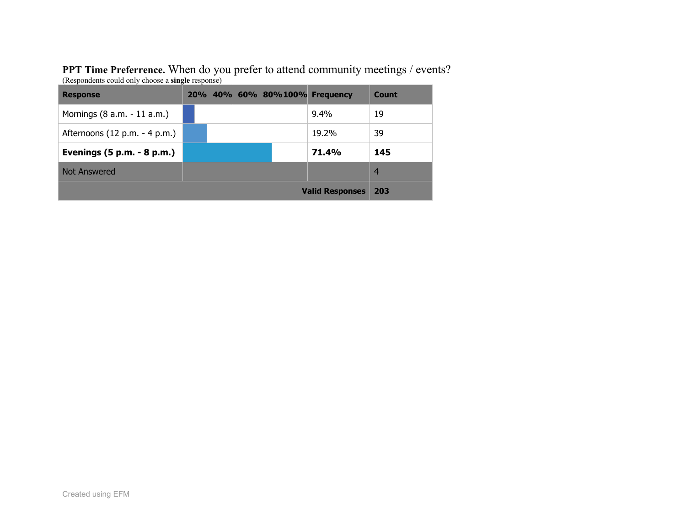**PPT Time Preferrence.** When do you prefer to attend community meetings / events? (Respondents could only choose a **single** response)

| <b>Response</b>               |  | 20% 40% 60% 80%100% Frequency |                        | Count          |
|-------------------------------|--|-------------------------------|------------------------|----------------|
| Mornings (8 a.m. - 11 a.m.)   |  |                               | $9.4\%$                | 19             |
| Afternoons (12 p.m. - 4 p.m.) |  |                               | 19.2%                  | 39             |
| Evenings (5 p.m. - 8 p.m.)    |  |                               | 71.4%                  | 145            |
| Not Answered                  |  |                               |                        | $\overline{a}$ |
|                               |  |                               | <b>Valid Responses</b> | 203            |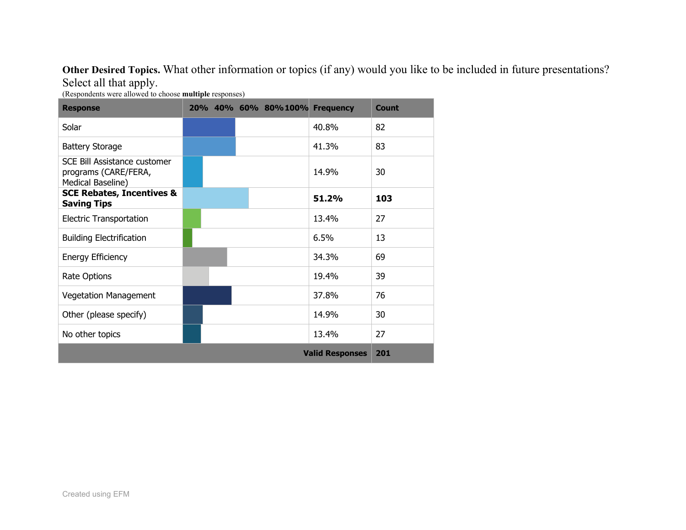**Other Desired Topics.** What other information or topics (if any) would you like to be included in future presentations? Select all that apply.

(Respondents were allowed to choose **multiple** responses)

| <b>Response</b>                                                           |  | 20% 40% 60% 80%100% Frequency |                        | <b>Count</b> |
|---------------------------------------------------------------------------|--|-------------------------------|------------------------|--------------|
| Solar                                                                     |  |                               | 40.8%                  | 82           |
| <b>Battery Storage</b>                                                    |  |                               | 41.3%                  | 83           |
| SCE Bill Assistance customer<br>programs (CARE/FERA,<br>Medical Baseline) |  |                               | 14.9%                  | 30           |
| <b>SCE Rebates, Incentives &amp;</b><br><b>Saving Tips</b>                |  |                               | 51.2%                  | 103          |
| <b>Electric Transportation</b>                                            |  |                               | 13.4%                  | 27           |
| <b>Building Electrification</b>                                           |  |                               | 6.5%                   | 13           |
| <b>Energy Efficiency</b>                                                  |  |                               | 34.3%                  | 69           |
| Rate Options                                                              |  |                               | 19.4%                  | 39           |
| <b>Vegetation Management</b>                                              |  |                               | 37.8%                  | 76           |
| Other (please specify)                                                    |  |                               | 14.9%                  | 30           |
| No other topics                                                           |  |                               | 13.4%                  | 27           |
|                                                                           |  |                               | <b>Valid Responses</b> | 201          |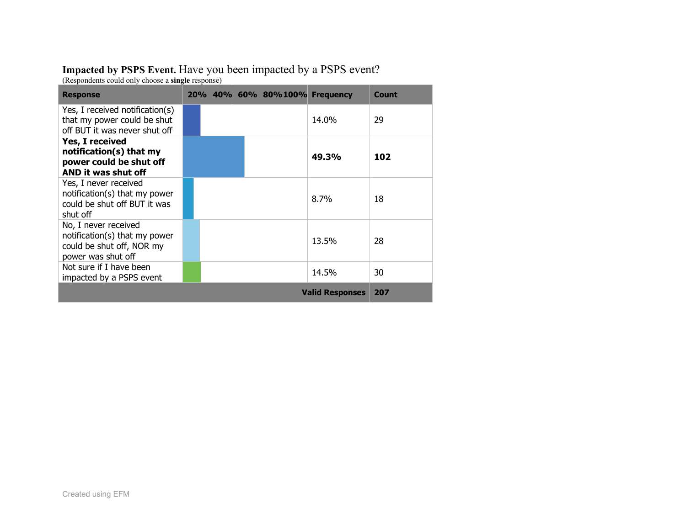### **Impacted by PSPS Event.** Have you been impacted by a PSPS event?

| <b>Response</b>                                                                                          |  | 20% 40% 60% 80%100% Frequency |                        | Count |
|----------------------------------------------------------------------------------------------------------|--|-------------------------------|------------------------|-------|
| Yes, I received notification(s)<br>that my power could be shut<br>off BUT it was never shut off          |  |                               | 14.0%                  | 29    |
| Yes, I received<br>notification(s) that my<br>power could be shut off<br>AND it was shut off             |  |                               | 49.3%                  | 102   |
| Yes, I never received<br>notification(s) that my power<br>could be shut off BUT it was<br>shut off       |  |                               | 8.7%                   | 18    |
| No, I never received<br>notification(s) that my power<br>could be shut off, NOR my<br>power was shut off |  |                               | 13.5%                  | 28    |
| Not sure if I have been<br>impacted by a PSPS event                                                      |  |                               | 14.5%                  | 30    |
|                                                                                                          |  |                               | <b>Valid Responses</b> | 207   |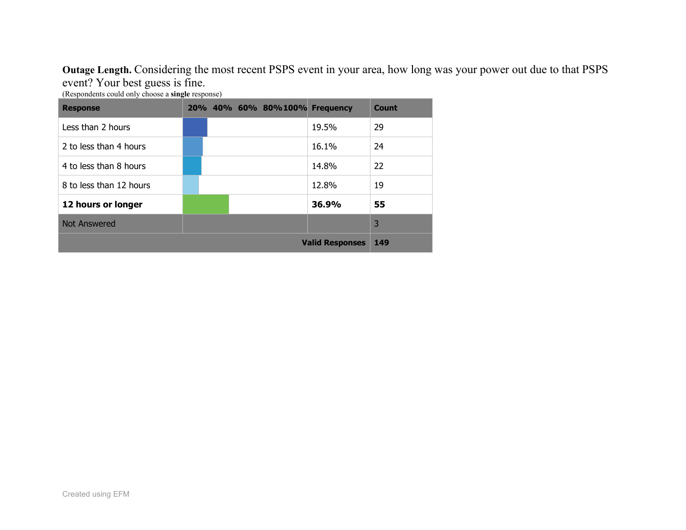**Outage Length.** Considering the most recent PSPS event in your area, how long was your power out due to that PSPS event? Your best guess is fine.

| <b>Response</b>         |  | 20% 40% 60% 80%100% Frequency |                        | <b>Count</b> |
|-------------------------|--|-------------------------------|------------------------|--------------|
| Less than 2 hours       |  |                               | 19.5%                  | 29           |
| 2 to less than 4 hours  |  |                               | 16.1%                  | 24           |
| 4 to less than 8 hours  |  |                               | 14.8%                  | 22           |
| 8 to less than 12 hours |  |                               | 12.8%                  | 19           |
| 12 hours or longer      |  |                               | 36.9%                  | 55           |
| <b>Not Answered</b>     |  |                               |                        | 3            |
|                         |  |                               | <b>Valid Responses</b> | 149          |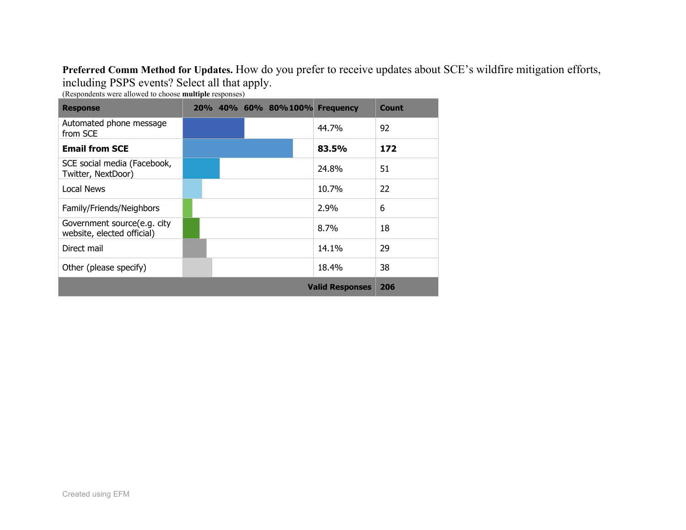**Preferred Comm Method for Updates.** How do you prefer to receive updates about SCE's wildfire mitigation efforts, including PSPS events? Select all that apply.

(Respondents were allowed to choose **multiple** responses)

| <b>Response</b>                                           |  |  |  | 20% 40% 60% 80%100% Frequency | <b>Count</b> |
|-----------------------------------------------------------|--|--|--|-------------------------------|--------------|
| Automated phone message<br>from SCE                       |  |  |  | 44.7%                         | 92           |
| <b>Email from SCE</b>                                     |  |  |  | 83.5%                         | 172          |
| SCE social media (Facebook,<br>Twitter, NextDoor)         |  |  |  | 24.8%                         | 51           |
| Local News                                                |  |  |  | 10.7%                         | 22           |
| Family/Friends/Neighbors                                  |  |  |  | 2.9%                          | 6            |
| Government source(e.g. city<br>website, elected official) |  |  |  | 8.7%                          | 18           |
| Direct mail                                               |  |  |  | 14.1%                         | 29           |
| Other (please specify)                                    |  |  |  | 18.4%                         | 38           |
|                                                           |  |  |  | <b>Valid Responses</b>        | 206          |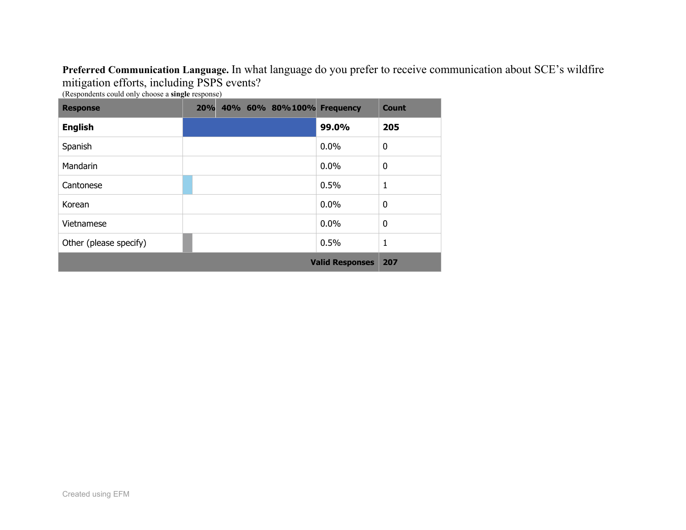**Preferred Communication Language.** In what language do you prefer to receive communication about SCE's wildfire mitigation efforts, including PSPS events?

| <b>Response</b>        | 20% 40% 60% 80%100% | <b>Frequency</b>       | <b>Count</b> |
|------------------------|---------------------|------------------------|--------------|
| <b>English</b>         |                     | 99.0%                  | 205          |
| Spanish                |                     | $0.0\%$                | 0            |
| Mandarin               |                     | 0.0%                   | 0            |
| Cantonese              |                     | 0.5%                   | 1            |
| Korean                 |                     | $0.0\%$                | 0            |
| Vietnamese             |                     | $0.0\%$                | 0            |
| Other (please specify) |                     | 0.5%                   | 1            |
|                        |                     | <b>Valid Responses</b> | 207          |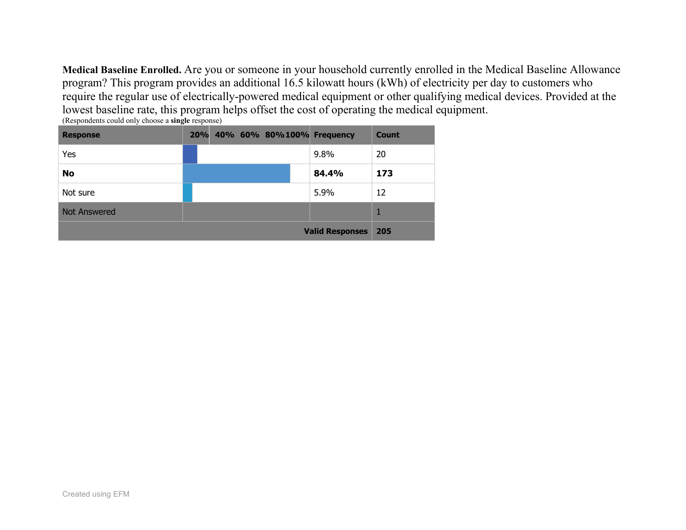**Medical Baseline Enrolled.** Are you or someone in your household currently enrolled in the Medical Baseline Allowance program? This program provides an additional 16.5 kilowatt hours (kWh) of electricity per day to customers who require the regular use of electrically-powered medical equipment or other qualifying medical devices. Provided at the lowest baseline rate, this program helps offset the cost of operating the medical equipment.

| $\mu$ as pondents could only enouse a single response<br><b>Response</b> |  |  | 20% 40% 60% 80%100% Frequency | <b>Count</b> |
|--------------------------------------------------------------------------|--|--|-------------------------------|--------------|
| Yes                                                                      |  |  | 9.8%                          | 20           |
| No                                                                       |  |  | 84.4%                         | 173          |
| Not sure                                                                 |  |  | 5.9%                          | 12           |
| <b>Not Answered</b>                                                      |  |  |                               | 1            |
|                                                                          |  |  | <b>Valid Responses</b>        | 205          |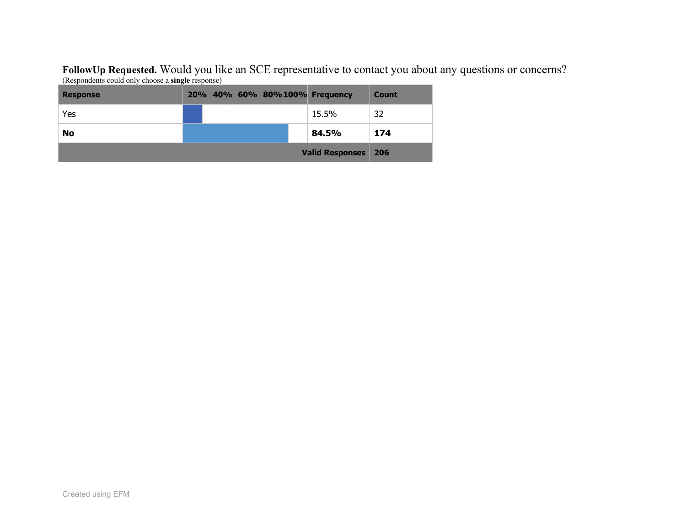**FollowUp Requested.** Would you like an SCE representative to contact you about any questions or concerns? (Respondents could only choose a **single** response)

| <b>Response</b> |  | 20% 40% 60% 80%100% Frequency |                        | <b>Count</b> |
|-----------------|--|-------------------------------|------------------------|--------------|
| Yes             |  |                               | 15.5%                  | 32           |
| No              |  |                               | 84.5%                  | 174          |
|                 |  |                               | <b>Valid Responses</b> | 206          |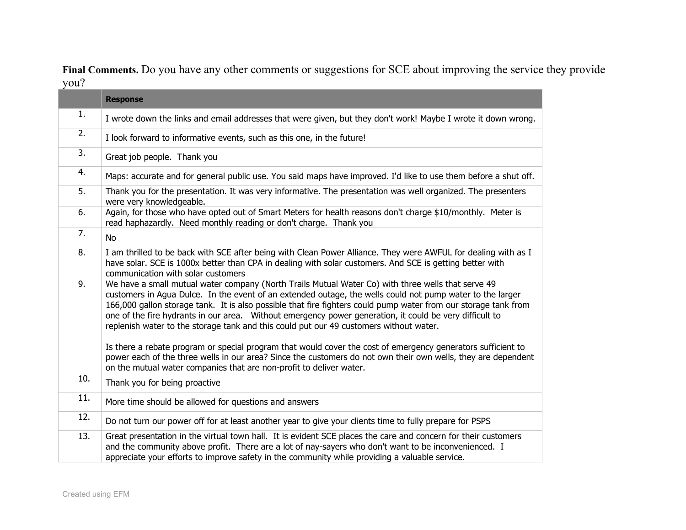**Final Comments.** Do you have any other comments or suggestions for SCE about improving the service they provide you?

|     | <b>Response</b>                                                                                                                                                                                                                                                                                                                                                                                                                                                                                                                         |
|-----|-----------------------------------------------------------------------------------------------------------------------------------------------------------------------------------------------------------------------------------------------------------------------------------------------------------------------------------------------------------------------------------------------------------------------------------------------------------------------------------------------------------------------------------------|
| 1.  | I wrote down the links and email addresses that were given, but they don't work! Maybe I wrote it down wrong.                                                                                                                                                                                                                                                                                                                                                                                                                           |
| 2.  | I look forward to informative events, such as this one, in the future!                                                                                                                                                                                                                                                                                                                                                                                                                                                                  |
| 3.  | Great job people. Thank you                                                                                                                                                                                                                                                                                                                                                                                                                                                                                                             |
| 4.  | Maps: accurate and for general public use. You said maps have improved. I'd like to use them before a shut off.                                                                                                                                                                                                                                                                                                                                                                                                                         |
| 5.  | Thank you for the presentation. It was very informative. The presentation was well organized. The presenters<br>were very knowledgeable.                                                                                                                                                                                                                                                                                                                                                                                                |
| 6.  | Again, for those who have opted out of Smart Meters for health reasons don't charge \$10/monthly. Meter is<br>read haphazardly. Need monthly reading or don't charge. Thank you                                                                                                                                                                                                                                                                                                                                                         |
| 7.  | No                                                                                                                                                                                                                                                                                                                                                                                                                                                                                                                                      |
| 8.  | I am thrilled to be back with SCE after being with Clean Power Alliance. They were AWFUL for dealing with as I<br>have solar. SCE is 1000x better than CPA in dealing with solar customers. And SCE is getting better with<br>communication with solar customers                                                                                                                                                                                                                                                                        |
| 9.  | We have a small mutual water company (North Trails Mutual Water Co) with three wells that serve 49<br>customers in Aqua Dulce. In the event of an extended outage, the wells could not pump water to the larger<br>166,000 gallon storage tank. It is also possible that fire fighters could pump water from our storage tank from<br>one of the fire hydrants in our area. Without emergency power generation, it could be very difficult to<br>replenish water to the storage tank and this could put our 49 customers without water. |
|     | Is there a rebate program or special program that would cover the cost of emergency generators sufficient to<br>power each of the three wells in our area? Since the customers do not own their own wells, they are dependent<br>on the mutual water companies that are non-profit to deliver water.                                                                                                                                                                                                                                    |
| 10. | Thank you for being proactive                                                                                                                                                                                                                                                                                                                                                                                                                                                                                                           |
| 11. | More time should be allowed for questions and answers                                                                                                                                                                                                                                                                                                                                                                                                                                                                                   |
| 12. | Do not turn our power off for at least another year to give your clients time to fully prepare for PSPS                                                                                                                                                                                                                                                                                                                                                                                                                                 |
| 13. | Great presentation in the virtual town hall. It is evident SCE places the care and concern for their customers<br>and the community above profit. There are a lot of nay-sayers who don't want to be inconvenienced. I<br>appreciate your efforts to improve safety in the community while providing a valuable service.                                                                                                                                                                                                                |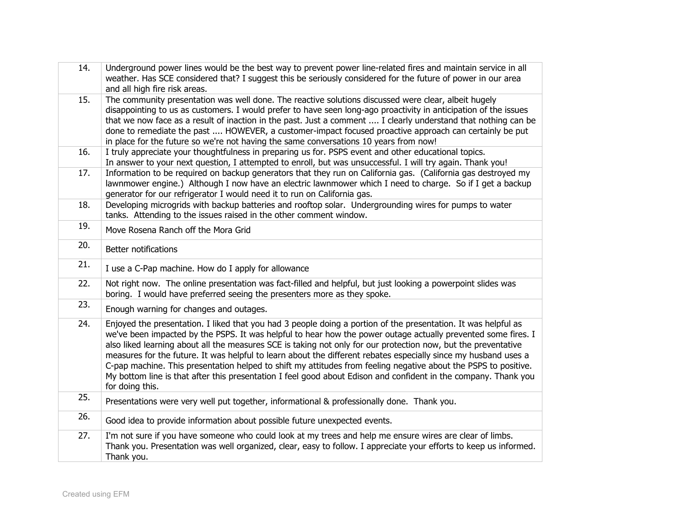| 14. | Underground power lines would be the best way to prevent power line-related fires and maintain service in all<br>weather. Has SCE considered that? I suggest this be seriously considered for the future of power in our area<br>and all high fire risk areas.                                                                                                                                                                                                                                                                                                                                                                                                                                                                |
|-----|-------------------------------------------------------------------------------------------------------------------------------------------------------------------------------------------------------------------------------------------------------------------------------------------------------------------------------------------------------------------------------------------------------------------------------------------------------------------------------------------------------------------------------------------------------------------------------------------------------------------------------------------------------------------------------------------------------------------------------|
| 15. | The community presentation was well done. The reactive solutions discussed were clear, albeit hugely<br>disappointing to us as customers. I would prefer to have seen long-ago proactivity in anticipation of the issues<br>that we now face as a result of inaction in the past. Just a comment  I clearly understand that nothing can be<br>done to remediate the past  HOWEVER, a customer-impact focused proactive approach can certainly be put<br>in place for the future so we're not having the same conversations 10 years from now!                                                                                                                                                                                 |
| 16. | I truly appreciate your thoughtfulness in preparing us for. PSPS event and other educational topics.<br>In answer to your next question, I attempted to enroll, but was unsuccessful. I will try again. Thank you!                                                                                                                                                                                                                                                                                                                                                                                                                                                                                                            |
| 17. | Information to be required on backup generators that they run on California gas. (California gas destroyed my<br>lawnmower engine.) Although I now have an electric lawnmower which I need to charge. So if I get a backup<br>generator for our refrigerator I would need it to run on California gas.                                                                                                                                                                                                                                                                                                                                                                                                                        |
| 18. | Developing microgrids with backup batteries and rooftop solar. Undergrounding wires for pumps to water<br>tanks. Attending to the issues raised in the other comment window.                                                                                                                                                                                                                                                                                                                                                                                                                                                                                                                                                  |
| 19. | Move Rosena Ranch off the Mora Grid                                                                                                                                                                                                                                                                                                                                                                                                                                                                                                                                                                                                                                                                                           |
| 20. | Better notifications                                                                                                                                                                                                                                                                                                                                                                                                                                                                                                                                                                                                                                                                                                          |
| 21. | I use a C-Pap machine. How do I apply for allowance                                                                                                                                                                                                                                                                                                                                                                                                                                                                                                                                                                                                                                                                           |
| 22. | Not right now. The online presentation was fact-filled and helpful, but just looking a powerpoint slides was<br>boring. I would have preferred seeing the presenters more as they spoke.                                                                                                                                                                                                                                                                                                                                                                                                                                                                                                                                      |
| 23. | Enough warning for changes and outages.                                                                                                                                                                                                                                                                                                                                                                                                                                                                                                                                                                                                                                                                                       |
| 24. | Enjoyed the presentation. I liked that you had 3 people doing a portion of the presentation. It was helpful as<br>we've been impacted by the PSPS. It was helpful to hear how the power outage actually prevented some fires. I<br>also liked learning about all the measures SCE is taking not only for our protection now, but the preventative<br>measures for the future. It was helpful to learn about the different rebates especially since my husband uses a<br>C-pap machine. This presentation helped to shift my attitudes from feeling negative about the PSPS to positive.<br>My bottom line is that after this presentation I feel good about Edison and confident in the company. Thank you<br>for doing this. |
| 25. | Presentations were very well put together, informational & professionally done. Thank you.                                                                                                                                                                                                                                                                                                                                                                                                                                                                                                                                                                                                                                    |
| 26. | Good idea to provide information about possible future unexpected events.                                                                                                                                                                                                                                                                                                                                                                                                                                                                                                                                                                                                                                                     |
| 27. | I'm not sure if you have someone who could look at my trees and help me ensure wires are clear of limbs.<br>Thank you. Presentation was well organized, clear, easy to follow. I appreciate your efforts to keep us informed.<br>Thank you.                                                                                                                                                                                                                                                                                                                                                                                                                                                                                   |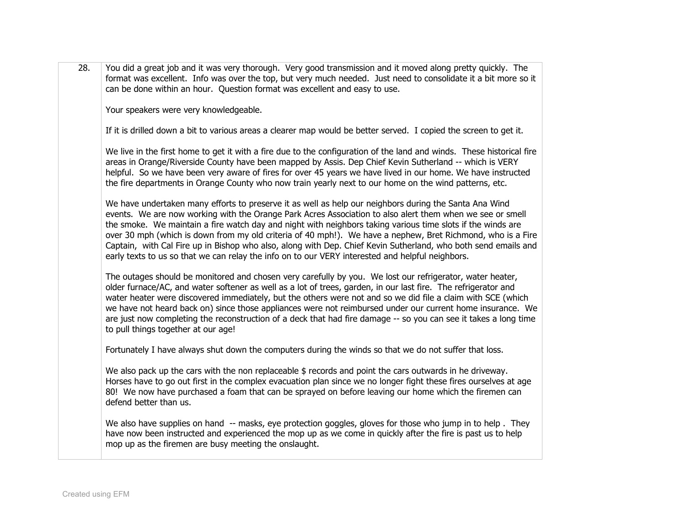28. You did a great job and it was very thorough. Very good transmission and it moved along pretty quickly. The format was excellent. Info was over the top, but very much needed. Just need to consolidate it a bit more so it can be done within an hour. Question format was excellent and easy to use. Your speakers were very knowledgeable. If it is drilled down a bit to various areas a clearer map would be better served. I copied the screen to get it. We live in the first home to get it with a fire due to the configuration of the land and winds. These historical fire areas in Orange/Riverside County have been mapped by Assis. Dep Chief Kevin Sutherland -- which is VERY helpful. So we have been very aware of fires for over 45 years we have lived in our home. We have instructed the fire departments in Orange County who now train yearly next to our home on the wind patterns, etc. We have undertaken many efforts to preserve it as well as help our neighbors during the Santa Ana Wind events. We are now working with the Orange Park Acres Association to also alert them when we see or smell the smoke. We maintain a fire watch day and night with neighbors taking various time slots if the winds are over 30 mph (which is down from my old criteria of 40 mph!). We have a nephew, Bret Richmond, who is a Fire Captain, with Cal Fire up in Bishop who also, along with Dep. Chief Kevin Sutherland, who both send emails and early texts to us so that we can relay the info on to our VERY interested and helpful neighbors. The outages should be monitored and chosen very carefully by you. We lost our refrigerator, water heater, older furnace/AC, and water softener as well as a lot of trees, garden, in our last fire. The refrigerator and water heater were discovered immediately, but the others were not and so we did file a claim with SCE (which we have not heard back on) since those appliances were not reimbursed under our current home insurance. We are just now completing the reconstruction of a deck that had fire damage -- so you can see it takes a long time to pull things together at our age! Fortunately I have always shut down the computers during the winds so that we do not suffer that loss. We also pack up the cars with the non replaceable \$ records and point the cars outwards in he driveway. Horses have to go out first in the complex evacuation plan since we no longer fight these fires ourselves at age 80! We now have purchased a foam that can be sprayed on before leaving our home which the firemen can defend better than us. We also have supplies on hand -- masks, eye protection goggles, gloves for those who jump in to help. They have now been instructed and experienced the mop up as we come in quickly after the fire is past us to help mop up as the firemen are busy meeting the onslaught.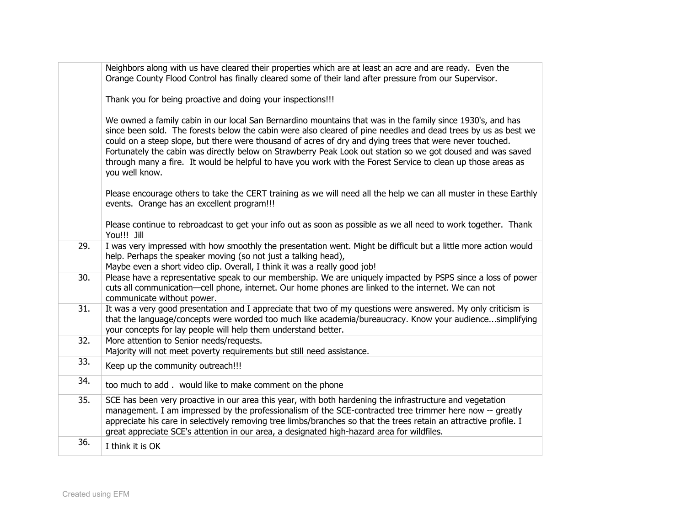|     | Neighbors along with us have cleared their properties which are at least an acre and are ready. Even the<br>Orange County Flood Control has finally cleared some of their land after pressure from our Supervisor.                                                                                                                                                                                                                                                                                                                                                                        |
|-----|-------------------------------------------------------------------------------------------------------------------------------------------------------------------------------------------------------------------------------------------------------------------------------------------------------------------------------------------------------------------------------------------------------------------------------------------------------------------------------------------------------------------------------------------------------------------------------------------|
|     | Thank you for being proactive and doing your inspections!!!                                                                                                                                                                                                                                                                                                                                                                                                                                                                                                                               |
|     | We owned a family cabin in our local San Bernardino mountains that was in the family since 1930's, and has<br>since been sold. The forests below the cabin were also cleared of pine needles and dead trees by us as best we<br>could on a steep slope, but there were thousand of acres of dry and dying trees that were never touched.<br>Fortunately the cabin was directly below on Strawberry Peak Look out station so we got doused and was saved<br>through many a fire. It would be helpful to have you work with the Forest Service to clean up those areas as<br>you well know. |
|     | Please encourage others to take the CERT training as we will need all the help we can all muster in these Earthly<br>events. Orange has an excellent program!!!                                                                                                                                                                                                                                                                                                                                                                                                                           |
|     | Please continue to rebroadcast to get your info out as soon as possible as we all need to work together. Thank<br>You!!! Jill                                                                                                                                                                                                                                                                                                                                                                                                                                                             |
| 29. | I was very impressed with how smoothly the presentation went. Might be difficult but a little more action would<br>help. Perhaps the speaker moving (so not just a talking head),<br>Maybe even a short video clip. Overall, I think it was a really good job!                                                                                                                                                                                                                                                                                                                            |
| 30. | Please have a representative speak to our membership. We are uniquely impacted by PSPS since a loss of power<br>cuts all communication—cell phone, internet. Our home phones are linked to the internet. We can not<br>communicate without power.                                                                                                                                                                                                                                                                                                                                         |
| 31. | It was a very good presentation and I appreciate that two of my questions were answered. My only criticism is<br>that the language/concepts were worded too much like academia/bureaucracy. Know your audiencesimplifying<br>your concepts for lay people will help them understand better.                                                                                                                                                                                                                                                                                               |
| 32. | More attention to Senior needs/requests.<br>Majority will not meet poverty requirements but still need assistance.                                                                                                                                                                                                                                                                                                                                                                                                                                                                        |
| 33. | Keep up the community outreach!!!                                                                                                                                                                                                                                                                                                                                                                                                                                                                                                                                                         |
| 34. | too much to add. would like to make comment on the phone                                                                                                                                                                                                                                                                                                                                                                                                                                                                                                                                  |
| 35. | SCE has been very proactive in our area this year, with both hardening the infrastructure and vegetation<br>management. I am impressed by the professionalism of the SCE-contracted tree trimmer here now -- greatly<br>appreciate his care in selectively removing tree limbs/branches so that the trees retain an attractive profile. I<br>great appreciate SCE's attention in our area, a designated high-hazard area for wildfiles.                                                                                                                                                   |
| 36. | I think it is OK                                                                                                                                                                                                                                                                                                                                                                                                                                                                                                                                                                          |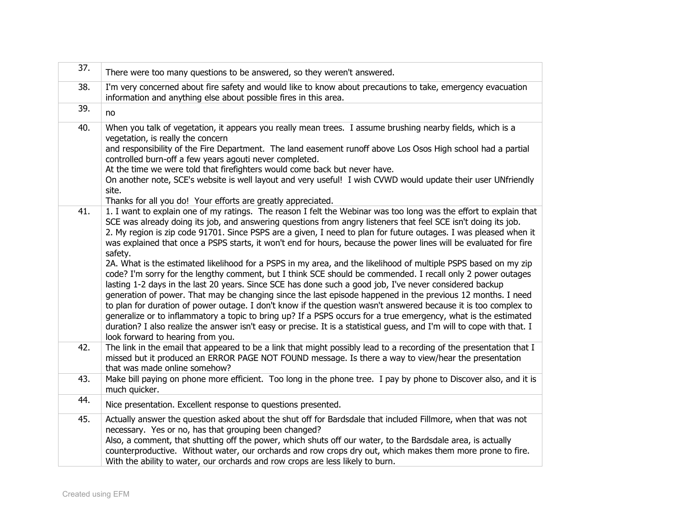| 37. | There were too many questions to be answered, so they weren't answered.                                                                                                                                                                                                                                                                                                                                                                                                                                                                                                                                                                                                                                                                                                                                                                                                                                                                                                                                                                                                                                                                                                                                                                                                                                                                                   |
|-----|-----------------------------------------------------------------------------------------------------------------------------------------------------------------------------------------------------------------------------------------------------------------------------------------------------------------------------------------------------------------------------------------------------------------------------------------------------------------------------------------------------------------------------------------------------------------------------------------------------------------------------------------------------------------------------------------------------------------------------------------------------------------------------------------------------------------------------------------------------------------------------------------------------------------------------------------------------------------------------------------------------------------------------------------------------------------------------------------------------------------------------------------------------------------------------------------------------------------------------------------------------------------------------------------------------------------------------------------------------------|
| 38. | I'm very concerned about fire safety and would like to know about precautions to take, emergency evacuation<br>information and anything else about possible fires in this area.                                                                                                                                                                                                                                                                                                                                                                                                                                                                                                                                                                                                                                                                                                                                                                                                                                                                                                                                                                                                                                                                                                                                                                           |
| 39. | no                                                                                                                                                                                                                                                                                                                                                                                                                                                                                                                                                                                                                                                                                                                                                                                                                                                                                                                                                                                                                                                                                                                                                                                                                                                                                                                                                        |
| 40. | When you talk of vegetation, it appears you really mean trees. I assume brushing nearby fields, which is a<br>vegetation, is really the concern<br>and responsibility of the Fire Department. The land easement runoff above Los Osos High school had a partial<br>controlled burn-off a few years agouti never completed.<br>At the time we were told that firefighters would come back but never have.<br>On another note, SCE's website is well layout and very useful! I wish CVWD would update their user UNfriendly<br>site.<br>Thanks for all you do! Your efforts are greatly appreciated.                                                                                                                                                                                                                                                                                                                                                                                                                                                                                                                                                                                                                                                                                                                                                        |
| 41. | 1. I want to explain one of my ratings. The reason I felt the Webinar was too long was the effort to explain that<br>SCE was already doing its job, and answering questions from angry listeners that feel SCE isn't doing its job.<br>2. My region is zip code 91701. Since PSPS are a given, I need to plan for future outages. I was pleased when it<br>was explained that once a PSPS starts, it won't end for hours, because the power lines will be evaluated for fire<br>safety.<br>2A. What is the estimated likelihood for a PSPS in my area, and the likelihood of multiple PSPS based on my zip<br>code? I'm sorry for the lengthy comment, but I think SCE should be commended. I recall only 2 power outages<br>lasting 1-2 days in the last 20 years. Since SCE has done such a good job, I've never considered backup<br>generation of power. That may be changing since the last episode happened in the previous 12 months. I need<br>to plan for duration of power outage. I don't know if the question wasn't answered because it is too complex to<br>generalize or to inflammatory a topic to bring up? If a PSPS occurs for a true emergency, what is the estimated<br>duration? I also realize the answer isn't easy or precise. It is a statistical guess, and I'm will to cope with that. I<br>look forward to hearing from you. |
| 42. | The link in the email that appeared to be a link that might possibly lead to a recording of the presentation that I<br>missed but it produced an ERROR PAGE NOT FOUND message. Is there a way to view/hear the presentation<br>that was made online somehow?                                                                                                                                                                                                                                                                                                                                                                                                                                                                                                                                                                                                                                                                                                                                                                                                                                                                                                                                                                                                                                                                                              |
| 43. | Make bill paying on phone more efficient. Too long in the phone tree. I pay by phone to Discover also, and it is<br>much quicker.                                                                                                                                                                                                                                                                                                                                                                                                                                                                                                                                                                                                                                                                                                                                                                                                                                                                                                                                                                                                                                                                                                                                                                                                                         |
| 44. | Nice presentation. Excellent response to questions presented.                                                                                                                                                                                                                                                                                                                                                                                                                                                                                                                                                                                                                                                                                                                                                                                                                                                                                                                                                                                                                                                                                                                                                                                                                                                                                             |
| 45. | Actually answer the question asked about the shut off for Bardsdale that included Fillmore, when that was not<br>necessary. Yes or no, has that grouping been changed?<br>Also, a comment, that shutting off the power, which shuts off our water, to the Bardsdale area, is actually<br>counterproductive. Without water, our orchards and row crops dry out, which makes them more prone to fire.<br>With the ability to water, our orchards and row crops are less likely to burn.                                                                                                                                                                                                                                                                                                                                                                                                                                                                                                                                                                                                                                                                                                                                                                                                                                                                     |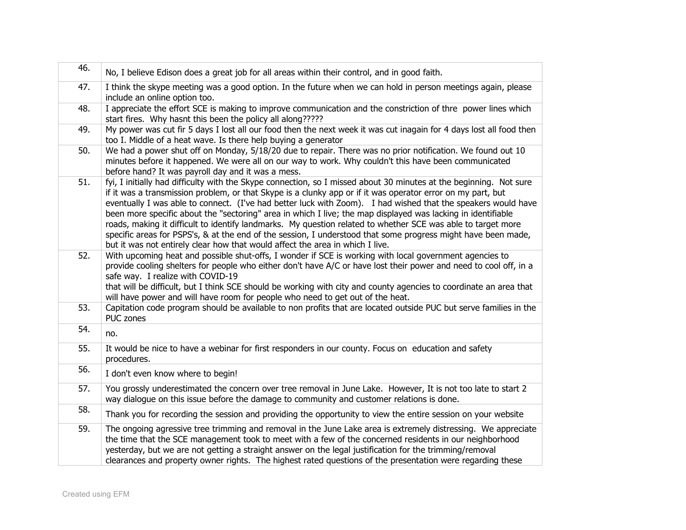| 46. | No, I believe Edison does a great job for all areas within their control, and in good faith.                                                                                                                                                                                                                                                                                                                                                                                                                                                                                                                                                                                                                                                                                         |
|-----|--------------------------------------------------------------------------------------------------------------------------------------------------------------------------------------------------------------------------------------------------------------------------------------------------------------------------------------------------------------------------------------------------------------------------------------------------------------------------------------------------------------------------------------------------------------------------------------------------------------------------------------------------------------------------------------------------------------------------------------------------------------------------------------|
| 47. | I think the skype meeting was a good option. In the future when we can hold in person meetings again, please<br>include an online option too.                                                                                                                                                                                                                                                                                                                                                                                                                                                                                                                                                                                                                                        |
| 48. | I appreciate the effort SCE is making to improve communication and the constriction of thre power lines which<br>start fires. Why hasnt this been the policy all along?????                                                                                                                                                                                                                                                                                                                                                                                                                                                                                                                                                                                                          |
| 49. | My power was cut fir 5 days I lost all our food then the next week it was cut inagain for 4 days lost all food then<br>too I. Middle of a heat wave. Is there help buying a generator                                                                                                                                                                                                                                                                                                                                                                                                                                                                                                                                                                                                |
| 50. | We had a power shut off on Monday, 5/18/20 due to repair. There was no prior notification. We found out 10<br>minutes before it happened. We were all on our way to work. Why couldn't this have been communicated<br>before hand? It was payroll day and it was a mess.                                                                                                                                                                                                                                                                                                                                                                                                                                                                                                             |
| 51. | fyi, I initially had difficulty with the Skype connection, so I missed about 30 minutes at the beginning. Not sure<br>if it was a transmission problem, or that Skype is a clunky app or if it was operator error on my part, but<br>eventually I was able to connect. (I've had better luck with Zoom). I had wished that the speakers would have<br>been more specific about the "sectoring" area in which I live; the map displayed was lacking in identifiable<br>roads, making it difficult to identify landmarks. My question related to whether SCE was able to target more<br>specific areas for PSPS's, & at the end of the session, I understood that some progress might have been made,<br>but it was not entirely clear how that would affect the area in which I live. |
| 52. | With upcoming heat and possible shut-offs, I wonder if SCE is working with local government agencies to<br>provide cooling shelters for people who either don't have A/C or have lost their power and need to cool off, in a<br>safe way. I realize with COVID-19<br>that will be difficult, but I think SCE should be working with city and county agencies to coordinate an area that<br>will have power and will have room for people who need to get out of the heat.                                                                                                                                                                                                                                                                                                            |
| 53. | Capitation code program should be available to non profits that are located outside PUC but serve families in the<br>PUC zones                                                                                                                                                                                                                                                                                                                                                                                                                                                                                                                                                                                                                                                       |
| 54. | no.                                                                                                                                                                                                                                                                                                                                                                                                                                                                                                                                                                                                                                                                                                                                                                                  |
| 55. | It would be nice to have a webinar for first responders in our county. Focus on education and safety<br>procedures.                                                                                                                                                                                                                                                                                                                                                                                                                                                                                                                                                                                                                                                                  |
| 56. | I don't even know where to begin!                                                                                                                                                                                                                                                                                                                                                                                                                                                                                                                                                                                                                                                                                                                                                    |
| 57. | You grossly underestimated the concern over tree removal in June Lake. However, It is not too late to start 2<br>way dialogue on this issue before the damage to community and customer relations is done.                                                                                                                                                                                                                                                                                                                                                                                                                                                                                                                                                                           |
| 58. | Thank you for recording the session and providing the opportunity to view the entire session on your website                                                                                                                                                                                                                                                                                                                                                                                                                                                                                                                                                                                                                                                                         |
| 59. | The ongoing agressive tree trimming and removal in the June Lake area is extremely distressing. We appreciate<br>the time that the SCE management took to meet with a few of the concerned residents in our neighborhood<br>yesterday, but we are not getting a straight answer on the legal justification for the trimming/removal<br>clearances and property owner rights. The highest rated questions of the presentation were regarding these                                                                                                                                                                                                                                                                                                                                    |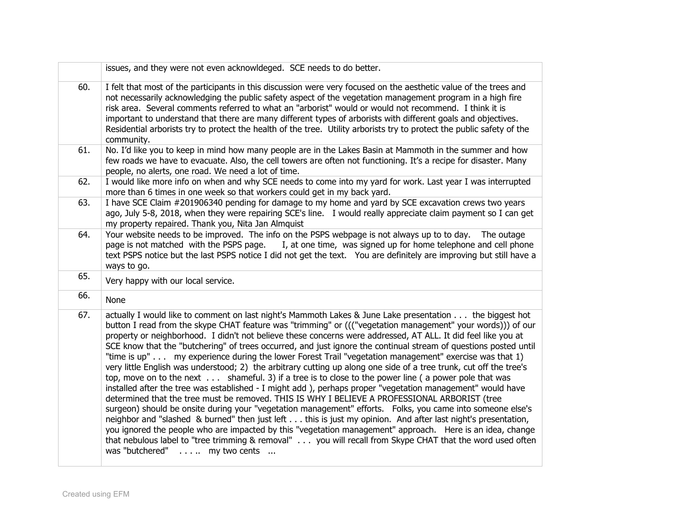|     | issues, and they were not even acknowldeged. SCE needs to do better.                                                                                                                                                                                                                                                                                                                                                                                                                                                                                                                                                                                                                                                                                                                                                                                                                                                                                                                                                                                                                                                                                                                                                                                                                                                                                                                                                                                                         |
|-----|------------------------------------------------------------------------------------------------------------------------------------------------------------------------------------------------------------------------------------------------------------------------------------------------------------------------------------------------------------------------------------------------------------------------------------------------------------------------------------------------------------------------------------------------------------------------------------------------------------------------------------------------------------------------------------------------------------------------------------------------------------------------------------------------------------------------------------------------------------------------------------------------------------------------------------------------------------------------------------------------------------------------------------------------------------------------------------------------------------------------------------------------------------------------------------------------------------------------------------------------------------------------------------------------------------------------------------------------------------------------------------------------------------------------------------------------------------------------------|
| 60. | I felt that most of the participants in this discussion were very focused on the aesthetic value of the trees and<br>not necessarily acknowledging the public safety aspect of the vegetation management program in a high fire<br>risk area. Several comments referred to what an "arborist" would or would not recommend. I think it is<br>important to understand that there are many different types of arborists with different goals and objectives.<br>Residential arborists try to protect the health of the tree. Utility arborists try to protect the public safety of the<br>community.                                                                                                                                                                                                                                                                                                                                                                                                                                                                                                                                                                                                                                                                                                                                                                                                                                                                           |
| 61. | No. I'd like you to keep in mind how many people are in the Lakes Basin at Mammoth in the summer and how<br>few roads we have to evacuate. Also, the cell towers are often not functioning. It's a recipe for disaster. Many<br>people, no alerts, one road. We need a lot of time.                                                                                                                                                                                                                                                                                                                                                                                                                                                                                                                                                                                                                                                                                                                                                                                                                                                                                                                                                                                                                                                                                                                                                                                          |
| 62. | I would like more info on when and why SCE needs to come into my yard for work. Last year I was interrupted<br>more than 6 times in one week so that workers could get in my back yard.                                                                                                                                                                                                                                                                                                                                                                                                                                                                                                                                                                                                                                                                                                                                                                                                                                                                                                                                                                                                                                                                                                                                                                                                                                                                                      |
| 63. | I have SCE Claim #201906340 pending for damage to my home and yard by SCE excavation crews two years<br>ago, July 5-8, 2018, when they were repairing SCE's line. I would really appreciate claim payment so I can get<br>my property repaired. Thank you, Nita Jan Almquist                                                                                                                                                                                                                                                                                                                                                                                                                                                                                                                                                                                                                                                                                                                                                                                                                                                                                                                                                                                                                                                                                                                                                                                                 |
| 64. | Your website needs to be improved. The info on the PSPS webpage is not always up to to day.<br>The outage<br>page is not matched with the PSPS page.<br>I, at one time, was signed up for home telephone and cell phone<br>text PSPS notice but the last PSPS notice I did not get the text. You are definitely are improving but still have a<br>ways to go.                                                                                                                                                                                                                                                                                                                                                                                                                                                                                                                                                                                                                                                                                                                                                                                                                                                                                                                                                                                                                                                                                                                |
| 65. | Very happy with our local service.                                                                                                                                                                                                                                                                                                                                                                                                                                                                                                                                                                                                                                                                                                                                                                                                                                                                                                                                                                                                                                                                                                                                                                                                                                                                                                                                                                                                                                           |
| 66. | None                                                                                                                                                                                                                                                                                                                                                                                                                                                                                                                                                                                                                                                                                                                                                                                                                                                                                                                                                                                                                                                                                                                                                                                                                                                                                                                                                                                                                                                                         |
| 67. | actually I would like to comment on last night's Mammoth Lakes & June Lake presentation the biggest hot<br>button I read from the skype CHAT feature was "trimming" or ((("vegetation management" your words))) of our<br>property or neighborhood. I didn't not believe these concerns were addressed, AT ALL. It did feel like you at<br>SCE know that the "butchering" of trees occurred, and just ignore the continual stream of questions posted until<br>"time is up" my experience during the lower Forest Trail "vegetation management" exercise was that $1$ )<br>very little English was understood; 2) the arbitrary cutting up along one side of a tree trunk, cut off the tree's<br>top, move on to the next shameful. 3) if a tree is to close to the power line (a power pole that was<br>installed after the tree was established - I might add), perhaps proper "vegetation management" would have<br>determined that the tree must be removed. THIS IS WHY I BELIEVE A PROFESSIONAL ARBORIST (tree<br>surgeon) should be onsite during your "vegetation management" efforts. Folks, you came into someone else's<br>neighbor and "slashed & burned" then just left this is just my opinion. And after last night's presentation,<br>you ignored the people who are impacted by this "vegetation management" approach. Here is an idea, change<br>that nebulous label to "tree trimming & removal" you will recall from Skype CHAT that the word used often |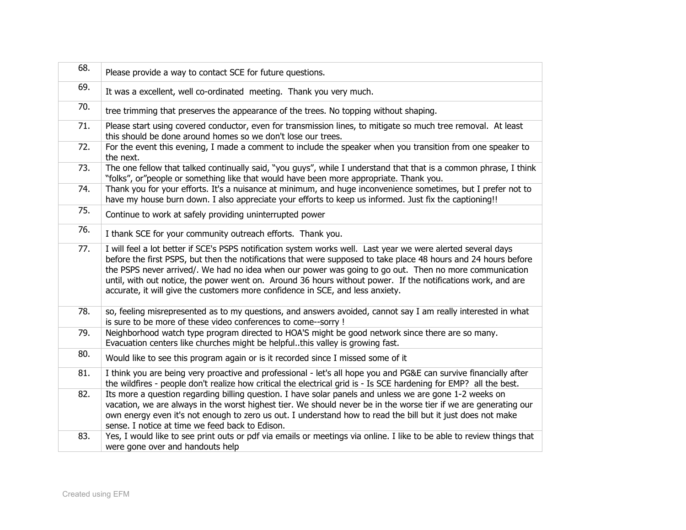| 68. | Please provide a way to contact SCE for future questions.                                                                                                                                                                                                                                                                                                                                                                                                                                                                                    |
|-----|----------------------------------------------------------------------------------------------------------------------------------------------------------------------------------------------------------------------------------------------------------------------------------------------------------------------------------------------------------------------------------------------------------------------------------------------------------------------------------------------------------------------------------------------|
| 69. | It was a excellent, well co-ordinated meeting. Thank you very much.                                                                                                                                                                                                                                                                                                                                                                                                                                                                          |
| 70. | tree trimming that preserves the appearance of the trees. No topping without shaping.                                                                                                                                                                                                                                                                                                                                                                                                                                                        |
| 71. | Please start using covered conductor, even for transmission lines, to mitigate so much tree removal. At least<br>this should be done around homes so we don't lose our trees.                                                                                                                                                                                                                                                                                                                                                                |
| 72. | For the event this evening, I made a comment to include the speaker when you transition from one speaker to<br>the next.                                                                                                                                                                                                                                                                                                                                                                                                                     |
| 73. | The one fellow that talked continually said, "you guys", while I understand that that is a common phrase, I think<br>"folks", or"people or something like that would have been more appropriate. Thank you.                                                                                                                                                                                                                                                                                                                                  |
| 74. | Thank you for your efforts. It's a nuisance at minimum, and huge inconvenience sometimes, but I prefer not to<br>have my house burn down. I also appreciate your efforts to keep us informed. Just fix the captioning!!                                                                                                                                                                                                                                                                                                                      |
| 75. | Continue to work at safely providing uninterrupted power                                                                                                                                                                                                                                                                                                                                                                                                                                                                                     |
| 76. | I thank SCE for your community outreach efforts. Thank you.                                                                                                                                                                                                                                                                                                                                                                                                                                                                                  |
| 77. | I will feel a lot better if SCE's PSPS notification system works well. Last year we were alerted several days<br>before the first PSPS, but then the notifications that were supposed to take place 48 hours and 24 hours before<br>the PSPS never arrived/. We had no idea when our power was going to go out. Then no more communication<br>until, with out notice, the power went on. Around 36 hours without power. If the notifications work, and are<br>accurate, it will give the customers more confidence in SCE, and less anxiety. |
| 78. | so, feeling misrepresented as to my questions, and answers avoided, cannot say I am really interested in what<br>is sure to be more of these video conferences to come--sorry !                                                                                                                                                                                                                                                                                                                                                              |
| 79. | Neighborhood watch type program directed to HOA'S might be good network since there are so many.<br>Evacuation centers like churches might be helpfulthis valley is growing fast.                                                                                                                                                                                                                                                                                                                                                            |
| 80. | Would like to see this program again or is it recorded since I missed some of it                                                                                                                                                                                                                                                                                                                                                                                                                                                             |
| 81. | I think you are being very proactive and professional - let's all hope you and PG&E can survive financially after<br>the wildfires - people don't realize how critical the electrical grid is - Is SCE hardening for EMP? all the best.                                                                                                                                                                                                                                                                                                      |
| 82. | Its more a question regarding billing question. I have solar panels and unless we are gone 1-2 weeks on<br>vacation, we are always in the worst highest tier. We should never be in the worse tier if we are generating our<br>own energy even it's not enough to zero us out. I understand how to read the bill but it just does not make<br>sense. I notice at time we feed back to Edison.                                                                                                                                                |
| 83. | Yes, I would like to see print outs or pdf via emails or meetings via online. I like to be able to review things that<br>were gone over and handouts help                                                                                                                                                                                                                                                                                                                                                                                    |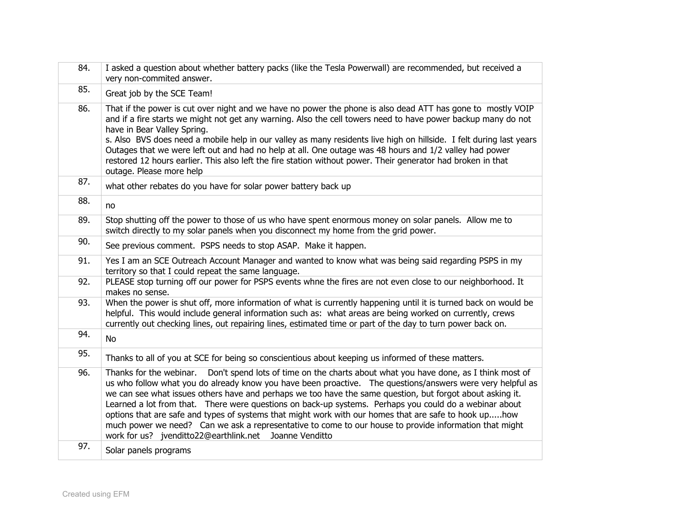| 84. | I asked a question about whether battery packs (like the Tesla Powerwall) are recommended, but received a<br>very non-commited answer.                                                                                                                                                                                                                                                                                                                                                                                                                                                                                                                                                                                              |
|-----|-------------------------------------------------------------------------------------------------------------------------------------------------------------------------------------------------------------------------------------------------------------------------------------------------------------------------------------------------------------------------------------------------------------------------------------------------------------------------------------------------------------------------------------------------------------------------------------------------------------------------------------------------------------------------------------------------------------------------------------|
| 85. | Great job by the SCE Team!                                                                                                                                                                                                                                                                                                                                                                                                                                                                                                                                                                                                                                                                                                          |
| 86. | That if the power is cut over night and we have no power the phone is also dead ATT has gone to mostly VOIP<br>and if a fire starts we might not get any warning. Also the cell towers need to have power backup many do not<br>have in Bear Valley Spring.<br>s. Also BVS does need a mobile help in our valley as many residents live high on hillside. I felt during last years<br>Outages that we were left out and had no help at all. One outage was 48 hours and 1/2 valley had power<br>restored 12 hours earlier. This also left the fire station without power. Their generator had broken in that<br>outage. Please more help                                                                                            |
| 87. | what other rebates do you have for solar power battery back up                                                                                                                                                                                                                                                                                                                                                                                                                                                                                                                                                                                                                                                                      |
| 88. | no                                                                                                                                                                                                                                                                                                                                                                                                                                                                                                                                                                                                                                                                                                                                  |
| 89. | Stop shutting off the power to those of us who have spent enormous money on solar panels. Allow me to<br>switch directly to my solar panels when you disconnect my home from the grid power.                                                                                                                                                                                                                                                                                                                                                                                                                                                                                                                                        |
| 90. | See previous comment. PSPS needs to stop ASAP. Make it happen.                                                                                                                                                                                                                                                                                                                                                                                                                                                                                                                                                                                                                                                                      |
| 91. | Yes I am an SCE Outreach Account Manager and wanted to know what was being said regarding PSPS in my<br>territory so that I could repeat the same language.                                                                                                                                                                                                                                                                                                                                                                                                                                                                                                                                                                         |
| 92. | PLEASE stop turning off our power for PSPS events whne the fires are not even close to our neighborhood. It<br>makes no sense.                                                                                                                                                                                                                                                                                                                                                                                                                                                                                                                                                                                                      |
| 93. | When the power is shut off, more information of what is currently happening until it is turned back on would be<br>helpful. This would include general information such as: what areas are being worked on currently, crews<br>currently out checking lines, out repairing lines, estimated time or part of the day to turn power back on.                                                                                                                                                                                                                                                                                                                                                                                          |
| 94. | No                                                                                                                                                                                                                                                                                                                                                                                                                                                                                                                                                                                                                                                                                                                                  |
| 95. | Thanks to all of you at SCE for being so conscientious about keeping us informed of these matters.                                                                                                                                                                                                                                                                                                                                                                                                                                                                                                                                                                                                                                  |
| 96. | Thanks for the webinar.<br>Don't spend lots of time on the charts about what you have done, as I think most of<br>us who follow what you do already know you have been proactive. The questions/answers were very helpful as<br>we can see what issues others have and perhaps we too have the same question, but forgot about asking it.<br>Learned a lot from that. There were questions on back-up systems. Perhaps you could do a webinar about<br>options that are safe and types of systems that might work with our homes that are safe to hook uphow<br>much power we need? Can we ask a representative to come to our house to provide information that might<br>work for us? jvenditto22@earthlink.net<br>Joanne Venditto |
| 97. | Solar panels programs                                                                                                                                                                                                                                                                                                                                                                                                                                                                                                                                                                                                                                                                                                               |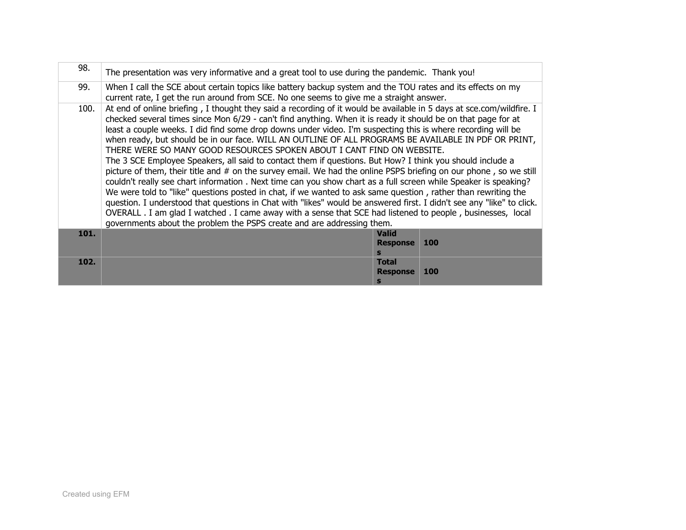| 98.  | The presentation was very informative and a great tool to use during the pandemic. Thank you!                                                                                                                                                                                                                                                                                                                                                                                                                                                                                                                                                                                                                                                                                                                                                                                                                                                                                                                                                                                                                                                                                                                                                                                                                                   |                                      |            |  |  |  |  |  |
|------|---------------------------------------------------------------------------------------------------------------------------------------------------------------------------------------------------------------------------------------------------------------------------------------------------------------------------------------------------------------------------------------------------------------------------------------------------------------------------------------------------------------------------------------------------------------------------------------------------------------------------------------------------------------------------------------------------------------------------------------------------------------------------------------------------------------------------------------------------------------------------------------------------------------------------------------------------------------------------------------------------------------------------------------------------------------------------------------------------------------------------------------------------------------------------------------------------------------------------------------------------------------------------------------------------------------------------------|--------------------------------------|------------|--|--|--|--|--|
| 99.  | When I call the SCE about certain topics like battery backup system and the TOU rates and its effects on my<br>current rate, I get the run around from SCE. No one seems to give me a straight answer.                                                                                                                                                                                                                                                                                                                                                                                                                                                                                                                                                                                                                                                                                                                                                                                                                                                                                                                                                                                                                                                                                                                          |                                      |            |  |  |  |  |  |
| 100. | At end of online briefing, I thought they said a recording of it would be available in 5 days at sce.com/wildfire. I<br>checked several times since Mon 6/29 - can't find anything. When it is ready it should be on that page for at<br>least a couple weeks. I did find some drop downs under video. I'm suspecting this is where recording will be<br>when ready, but should be in our face. WILL AN OUTLINE OF ALL PROGRAMS BE AVAILABLE IN PDF OR PRINT,<br>THERE WERE SO MANY GOOD RESOURCES SPOKEN ABOUT I CANT FIND ON WEBSITE.<br>The 3 SCE Employee Speakers, all said to contact them if questions. But How? I think you should include a<br>picture of them, their title and # on the survey email. We had the online PSPS briefing on our phone, so we still<br>couldn't really see chart information. Next time can you show chart as a full screen while Speaker is speaking?<br>We were told to "like" questions posted in chat, if we wanted to ask same question, rather than rewriting the<br>question. I understood that questions in Chat with "likes" would be answered first. I didn't see any "like" to click.<br>OVERALL . I am glad I watched . I came away with a sense that SCE had listened to people, businesses, local<br>governments about the problem the PSPS create and are addressing them. |                                      |            |  |  |  |  |  |
| 101. |                                                                                                                                                                                                                                                                                                                                                                                                                                                                                                                                                                                                                                                                                                                                                                                                                                                                                                                                                                                                                                                                                                                                                                                                                                                                                                                                 | <b>Valid</b><br><b>Response</b><br>s | <b>100</b> |  |  |  |  |  |
| 102. |                                                                                                                                                                                                                                                                                                                                                                                                                                                                                                                                                                                                                                                                                                                                                                                                                                                                                                                                                                                                                                                                                                                                                                                                                                                                                                                                 | <b>Total</b><br><b>Response</b>      | 100        |  |  |  |  |  |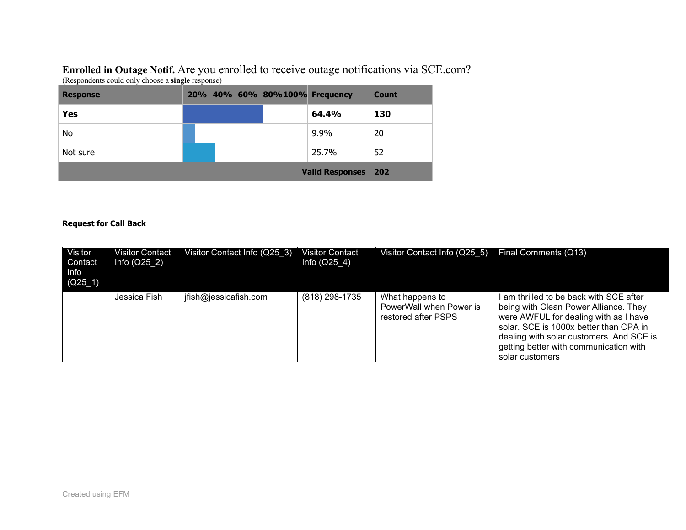**Enrolled in Outage Notif.** Are you enrolled to receive outage notifications via SCE.com? (Respondents could only choose a **single** response)

| <b>Response</b> |  | 20% 40% 60% 80%100% Frequency |                            | <b>Count</b> |
|-----------------|--|-------------------------------|----------------------------|--------------|
| Yes             |  |                               | 64.4%                      | 130          |
| No              |  |                               | 9.9%                       | 20           |
| Not sure        |  |                               | 25.7%                      | 52           |
|                 |  |                               | <b>Valid Responses</b> 202 |              |

#### **Request for Call Back**

| Visitor<br>Contact<br>Info<br>$(Q25_1)$ | <b>Visitor Contact</b><br>Info $(Q25\ 2)$ | Visitor Contact Info (Q25 3) | Visitor Contact<br>Info $(Q25 4)$ | Visitor Contact Info (Q25 5)                                      | Final Comments (Q13)                                                                                                                                                                                                                                                         |
|-----------------------------------------|-------------------------------------------|------------------------------|-----------------------------------|-------------------------------------------------------------------|------------------------------------------------------------------------------------------------------------------------------------------------------------------------------------------------------------------------------------------------------------------------------|
|                                         | Jessica Fish                              | jfish@jessicafish.com        | (818) 298-1735                    | What happens to<br>PowerWall when Power is<br>restored after PSPS | I am thrilled to be back with SCE after<br>being with Clean Power Alliance. They<br>were AWFUL for dealing with as I have<br>solar. SCE is 1000x better than CPA in<br>dealing with solar customers. And SCE is<br>getting better with communication with<br>solar customers |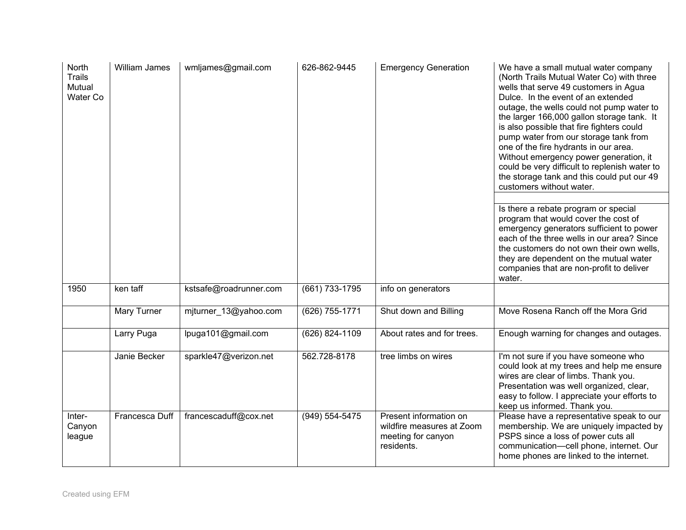| North<br><b>Trails</b><br>Mutual<br>Water Co | <b>William James</b> | wmljames@gmail.com     | 626-862-9445       | <b>Emergency Generation</b>                                                             | We have a small mutual water company<br>(North Trails Mutual Water Co) with three<br>wells that serve 49 customers in Agua<br>Dulce. In the event of an extended<br>outage, the wells could not pump water to<br>the larger 166,000 gallon storage tank. It<br>is also possible that fire fighters could<br>pump water from our storage tank from<br>one of the fire hydrants in our area.<br>Without emergency power generation, it<br>could be very difficult to replenish water to<br>the storage tank and this could put our 49<br>customers without water. |
|----------------------------------------------|----------------------|------------------------|--------------------|-----------------------------------------------------------------------------------------|-----------------------------------------------------------------------------------------------------------------------------------------------------------------------------------------------------------------------------------------------------------------------------------------------------------------------------------------------------------------------------------------------------------------------------------------------------------------------------------------------------------------------------------------------------------------|
|                                              |                      |                        |                    |                                                                                         | Is there a rebate program or special<br>program that would cover the cost of<br>emergency generators sufficient to power<br>each of the three wells in our area? Since<br>the customers do not own their own wells,<br>they are dependent on the mutual water<br>companies that are non-profit to deliver<br>water.                                                                                                                                                                                                                                             |
| 1950                                         | ken taff             | kstsafe@roadrunner.com | (661) 733-1795     | info on generators                                                                      |                                                                                                                                                                                                                                                                                                                                                                                                                                                                                                                                                                 |
|                                              | <b>Mary Turner</b>   | mjturner_13@yahoo.com  | (626) 755-1771     | Shut down and Billing                                                                   | Move Rosena Ranch off the Mora Grid                                                                                                                                                                                                                                                                                                                                                                                                                                                                                                                             |
|                                              | Larry Puga           | lpuga101@gmail.com     | (626) 824-1109     | About rates and for trees.                                                              | Enough warning for changes and outages.                                                                                                                                                                                                                                                                                                                                                                                                                                                                                                                         |
|                                              | Janie Becker         | sparkle47@verizon.net  | 562.728-8178       | tree limbs on wires                                                                     | I'm not sure if you have someone who<br>could look at my trees and help me ensure<br>wires are clear of limbs. Thank you.<br>Presentation was well organized, clear,<br>easy to follow. I appreciate your efforts to<br>keep us informed. Thank you.                                                                                                                                                                                                                                                                                                            |
| Inter-<br>Canyon<br>league                   | Francesca Duff       | francescaduff@cox.net  | $(949) 554 - 5475$ | Present information on<br>wildfire measures at Zoom<br>meeting for canyon<br>residents. | Please have a representative speak to our<br>membership. We are uniquely impacted by<br>PSPS since a loss of power cuts all<br>communication-cell phone, internet. Our<br>home phones are linked to the internet.                                                                                                                                                                                                                                                                                                                                               |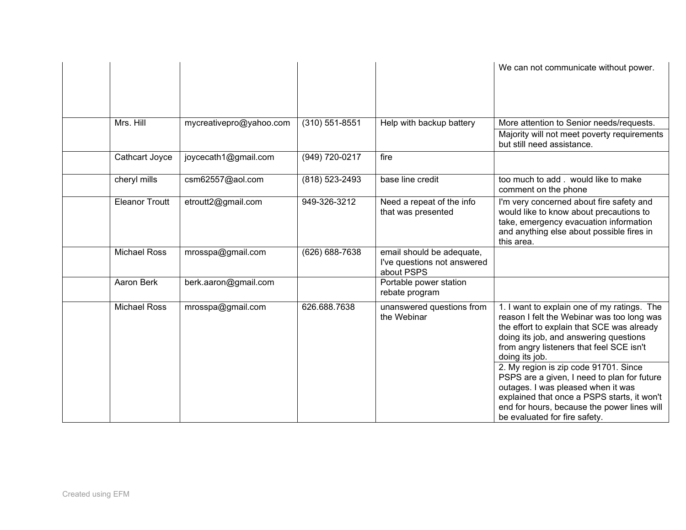|                       |                         |                    |                                                                        | We can not communicate without power.                                                                                                                                                                                                                                                                                                                                                                                                                                                                        |
|-----------------------|-------------------------|--------------------|------------------------------------------------------------------------|--------------------------------------------------------------------------------------------------------------------------------------------------------------------------------------------------------------------------------------------------------------------------------------------------------------------------------------------------------------------------------------------------------------------------------------------------------------------------------------------------------------|
| Mrs. Hill             | mycreativepro@yahoo.com | $(310) 551 - 8551$ | Help with backup battery                                               | More attention to Senior needs/requests.<br>Majority will not meet poverty requirements<br>but still need assistance.                                                                                                                                                                                                                                                                                                                                                                                        |
| Cathcart Joyce        | joycecath1@gmail.com    | (949) 720-0217     | fire                                                                   |                                                                                                                                                                                                                                                                                                                                                                                                                                                                                                              |
| cheryl mills          | csm62557@aol.com        | (818) 523-2493     | base line credit                                                       | too much to add. would like to make<br>comment on the phone                                                                                                                                                                                                                                                                                                                                                                                                                                                  |
| <b>Eleanor Troutt</b> | etroutt2@gmail.com      | 949-326-3212       | Need a repeat of the info<br>that was presented                        | I'm very concerned about fire safety and<br>would like to know about precautions to<br>take, emergency evacuation information<br>and anything else about possible fires in<br>this area.                                                                                                                                                                                                                                                                                                                     |
| <b>Michael Ross</b>   | mrosspa@gmail.com       | $(626) 688 - 7638$ | email should be adequate,<br>I've questions not answered<br>about PSPS |                                                                                                                                                                                                                                                                                                                                                                                                                                                                                                              |
| Aaron Berk            | berk.aaron@gmail.com    |                    | Portable power station<br>rebate program                               |                                                                                                                                                                                                                                                                                                                                                                                                                                                                                                              |
| <b>Michael Ross</b>   | mrosspa@gmail.com       | 626.688.7638       | unanswered questions from<br>the Webinar                               | 1. I want to explain one of my ratings. The<br>reason I felt the Webinar was too long was<br>the effort to explain that SCE was already<br>doing its job, and answering questions<br>from angry listeners that feel SCE isn't<br>doing its job.<br>2. My region is zip code 91701. Since<br>PSPS are a given, I need to plan for future<br>outages. I was pleased when it was<br>explained that once a PSPS starts, it won't<br>end for hours, because the power lines will<br>be evaluated for fire safety. |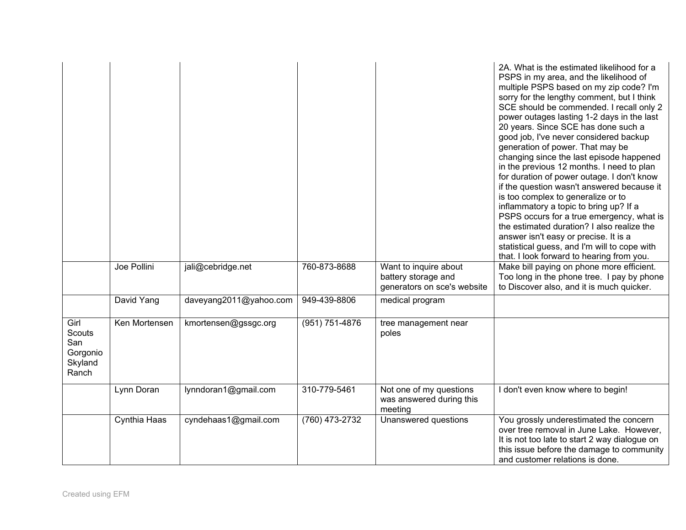|                                                              |               |                        |                    |                                                                             | 2A. What is the estimated likelihood for a<br>PSPS in my area, and the likelihood of<br>multiple PSPS based on my zip code? I'm<br>sorry for the lengthy comment, but I think<br>SCE should be commended. I recall only 2<br>power outages lasting 1-2 days in the last<br>20 years. Since SCE has done such a<br>good job, I've never considered backup<br>generation of power. That may be<br>changing since the last episode happened<br>in the previous 12 months. I need to plan<br>for duration of power outage. I don't know<br>if the question wasn't answered because it<br>is too complex to generalize or to<br>inflammatory a topic to bring up? If a<br>PSPS occurs for a true emergency, what is<br>the estimated duration? I also realize the<br>answer isn't easy or precise. It is a<br>statistical guess, and I'm will to cope with<br>that. I look forward to hearing from you. |
|--------------------------------------------------------------|---------------|------------------------|--------------------|-----------------------------------------------------------------------------|----------------------------------------------------------------------------------------------------------------------------------------------------------------------------------------------------------------------------------------------------------------------------------------------------------------------------------------------------------------------------------------------------------------------------------------------------------------------------------------------------------------------------------------------------------------------------------------------------------------------------------------------------------------------------------------------------------------------------------------------------------------------------------------------------------------------------------------------------------------------------------------------------|
|                                                              | Joe Pollini   | jali@cebridge.net      | 760-873-8688       | Want to inquire about<br>battery storage and<br>generators on sce's website | Make bill paying on phone more efficient.<br>Too long in the phone tree. I pay by phone<br>to Discover also, and it is much quicker.                                                                                                                                                                                                                                                                                                                                                                                                                                                                                                                                                                                                                                                                                                                                                               |
|                                                              | David Yang    | daveyang2011@yahoo.com | 949-439-8806       | medical program                                                             |                                                                                                                                                                                                                                                                                                                                                                                                                                                                                                                                                                                                                                                                                                                                                                                                                                                                                                    |
| Girl<br><b>Scouts</b><br>San<br>Gorgonio<br>Skyland<br>Ranch | Ken Mortensen | kmortensen@gssgc.org   | $(951) 751 - 4876$ | tree management near<br>poles                                               |                                                                                                                                                                                                                                                                                                                                                                                                                                                                                                                                                                                                                                                                                                                                                                                                                                                                                                    |
|                                                              | Lynn Doran    | lynndoran1@gmail.com   | 310-779-5461       | Not one of my questions<br>was answered during this<br>meeting              | I don't even know where to begin!                                                                                                                                                                                                                                                                                                                                                                                                                                                                                                                                                                                                                                                                                                                                                                                                                                                                  |
|                                                              | Cynthia Haas  | cyndehaas1@gmail.com   | (760) 473-2732     | Unanswered questions                                                        | You grossly underestimated the concern<br>over tree removal in June Lake. However,<br>It is not too late to start 2 way dialogue on<br>this issue before the damage to community<br>and customer relations is done.                                                                                                                                                                                                                                                                                                                                                                                                                                                                                                                                                                                                                                                                                |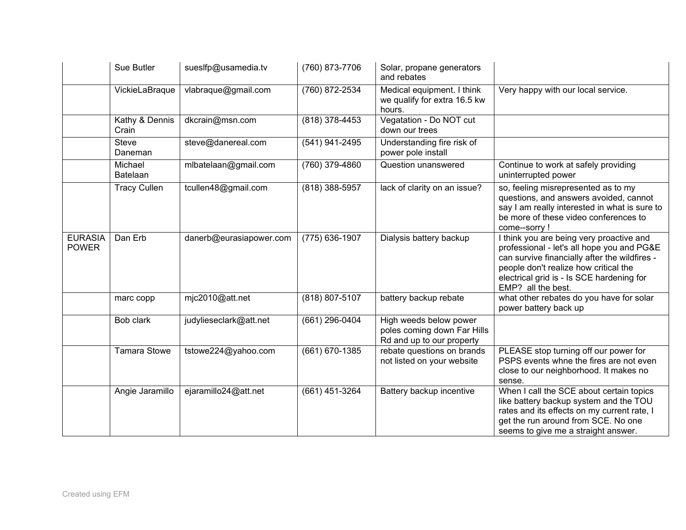|                                | Sue Butler              | sueslfp@usamedia.tv     | (760) 873-7706     | Solar, propane generators<br>and rebates                                           |                                                                                                                                                                                                                                                     |
|--------------------------------|-------------------------|-------------------------|--------------------|------------------------------------------------------------------------------------|-----------------------------------------------------------------------------------------------------------------------------------------------------------------------------------------------------------------------------------------------------|
|                                | VickieLaBraque          | vlabraque@gmail.com     | $(760)$ 872-2534   | Medical equipment. I think<br>we qualify for extra 16.5 kw<br>hours.               | Very happy with our local service.                                                                                                                                                                                                                  |
|                                | Kathy & Dennis<br>Crain | dkcrain@msn.com         | (818) 378-4453     | Vegatation - Do NOT cut<br>down our trees                                          |                                                                                                                                                                                                                                                     |
|                                | Steve<br>Daneman        | steve@danereal.com      | (541) 941-2495     | Understanding fire risk of<br>power pole install                                   |                                                                                                                                                                                                                                                     |
|                                | Michael<br>Batelaan     | mlbatelaan@gmail.com    | (760) 379-4860     | Question unanswered                                                                | Continue to work at safely providing<br>uninterrupted power                                                                                                                                                                                         |
|                                | <b>Tracy Cullen</b>     | tcullen48@gmail.com     | (818) 388-5957     | lack of clarity on an issue?                                                       | so, feeling misrepresented as to my<br>questions, and answers avoided, cannot<br>say I am really interested in what is sure to<br>be more of these video conferences to<br>come--sorry !                                                            |
| <b>EURASIA</b><br><b>POWER</b> | Dan Erb                 | danerb@eurasiapower.com | (775) 636-1907     | Dialysis battery backup                                                            | I think you are being very proactive and<br>professional - let's all hope you and PG&E<br>can survive financially after the wildfires -<br>people don't realize how critical the<br>electrical grid is - Is SCE hardening for<br>EMP? all the best. |
|                                | marc copp               | mjc2010@att.net         | (818) 807-5107     | battery backup rebate                                                              | what other rebates do you have for solar<br>power battery back up                                                                                                                                                                                   |
|                                | Bob clark               | judylieseclark@att.net  | (661) 296-0404     | High weeds below power<br>poles coming down Far Hills<br>Rd and up to our property |                                                                                                                                                                                                                                                     |
|                                | <b>Tamara Stowe</b>     | tstowe224@yahoo.com     | $(661) 670 - 1385$ | rebate questions on brands<br>not listed on your website                           | PLEASE stop turning off our power for<br>PSPS events whne the fires are not even<br>close to our neighborhood. It makes no<br>sense.                                                                                                                |
|                                | Angie Jaramillo         | ejaramillo24@att.net    | (661) 451-3264     | Battery backup incentive                                                           | When I call the SCE about certain topics<br>like battery backup system and the TOU<br>rates and its effects on my current rate, I<br>get the run around from SCE. No one<br>seems to give me a straight answer.                                     |